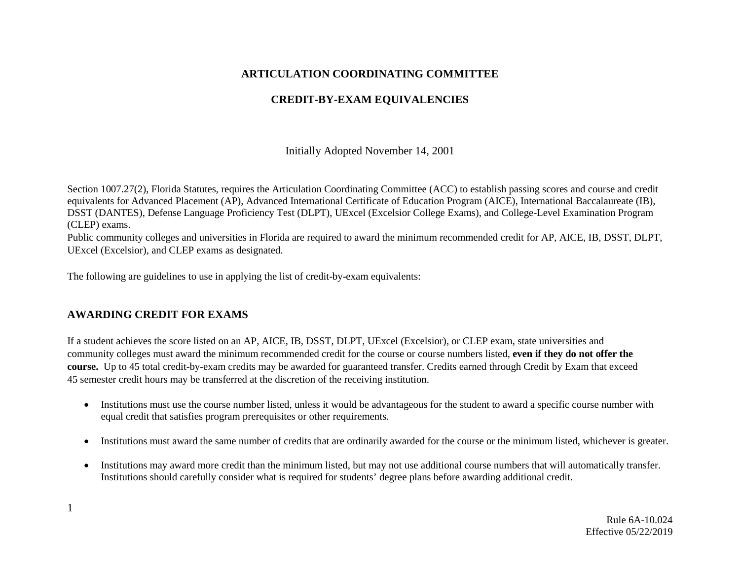#### **ARTICULATION COORDINATING COMMITTEE**

# **CREDIT-BY-EXAM EQUIVALENCIES**

Initially Adopted November 14, 2001

Section 1007.27(2), Florida Statutes, requires the Articulation Coordinating Committee (ACC) to establish passing scores and course and credit equivalents for Advanced Placement (AP), Advanced International Certificate of Education Program (AICE), International Baccalaureate (IB), DSST (DANTES), Defense Language Proficiency Test (DLPT), UExcel (Excelsior College Exams), and College-Level Examination Program (CLEP) exams.

Public community colleges and universities in Florida are required to award the minimum recommended credit for AP, AICE, IB, DSST, DLPT, UExcel (Excelsior), and CLEP exams as designated.

The following are guidelines to use in applying the list of credit-by-exam equivalents:

#### **AWARDING CREDIT FOR EXAMS**

If a student achieves the score listed on an AP, AICE, IB, DSST, DLPT, UExcel (Excelsior), or CLEP exam, state universities and community colleges must award the minimum recommended credit for the course or course numbers listed, **even if they do not offer the course.** Up to 45 total credit-by-exam credits may be awarded for guaranteed transfer. Credits earned through Credit by Exam that exceed 45 semester credit hours may be transferred at the discretion of the receiving institution.

- Institutions must use the course number listed, unless it would be advantageous for the student to award a specific course number with equal credit that satisfies program prerequisites or other requirements.
- Institutions must award the same number of credits that are ordinarily awarded for the course or the minimum listed, whichever is greater.
- Institutions may award more credit than the minimum listed, but may not use additional course numbers that will automatically transfer. Institutions should carefully consider what is required for students' degree plans before awarding additional credit.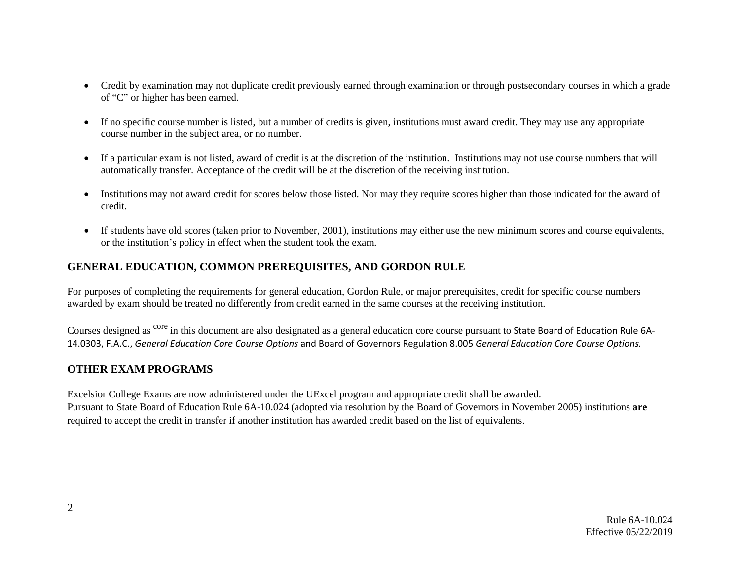- Credit by examination may not duplicate credit previously earned through examination or through postsecondary courses in which a grade of "C" or higher has been earned.
- If no specific course number is listed, but a number of credits is given, institutions must award credit. They may use any appropriate course number in the subject area, or no number.
- If a particular exam is not listed, award of credit is at the discretion of the institution. Institutions may not use course numbers that will automatically transfer. Acceptance of the credit will be at the discretion of the receiving institution.
- Institutions may not award credit for scores below those listed. Nor may they require scores higher than those indicated for the award of credit.
- If students have old scores (taken prior to November, 2001), institutions may either use the new minimum scores and course equivalents, or the institution's policy in effect when the student took the exam.

## **GENERAL EDUCATION, COMMON PREREQUISITES, AND GORDON RULE**

For purposes of completing the requirements for general education, Gordon Rule, or major prerequisites, credit for specific course numbers awarded by exam should be treated no differently from credit earned in the same courses at the receiving institution.

Courses designed as <sup>core</sup> in this document are also designated as a general education core course pursuant to State Board of Education Rule 6A-14.0303, F.A.C., *General Education Core Course Options* and Board of Governors Regulation 8.005 *General Education Core Course Options.*

#### **OTHER EXAM PROGRAMS**

Excelsior College Exams are now administered under the UExcel program and appropriate credit shall be awarded. Pursuant to State Board of Education Rule 6A-10.024 (adopted via resolution by the Board of Governors in November 2005) institutions **are** required to accept the credit in transfer if another institution has awarded credit based on the list of equivalents.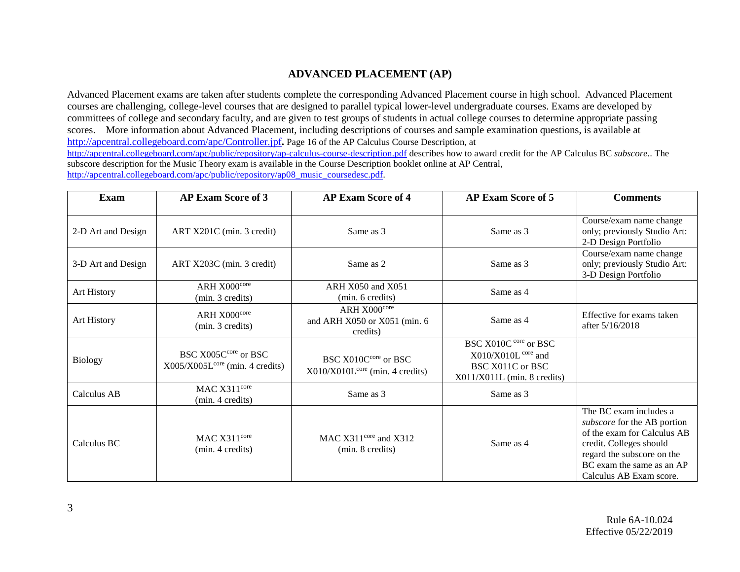#### **ADVANCED PLACEMENT (AP)**

Advanced Placement exams are taken after students complete the corresponding Advanced Placement course in high school. Advanced Placement courses are challenging, college-level courses that are designed to parallel typical lower-level undergraduate courses. Exams are developed by committees of college and secondary faculty, and are given to test groups of students in actual college courses to determine appropriate passing scores. More information about Advanced Placement, including descriptions of courses and sample examination questions, is available at <http://apcentral.collegeboard.com/apc/Controller.jpf>**.** Page 16 of the AP Calculus Course Description, at <http://apcentral.collegeboard.com/apc/public/repository/ap-calculus-course-description.pdf> describes how to award credit for the AP Calculus BC *subscore*.. The

subscore description for the Music Theory exam is available in the Course Description booklet online at AP Central, [http://apcentral.collegeboard.com/apc/public/repository/ap08\\_music\\_coursedesc.pdf.](http://apcentral.collegeboard.com/apc/public/repository/ap08_music_coursedesc.pdf)

| Exam               | <b>AP Exam Score of 3</b>                                 | <b>AP Exam Score of 4</b>                                             | <b>AP Exam Score of 5</b>                                                                                      | <b>Comments</b>                                                                                                                                                                                       |
|--------------------|-----------------------------------------------------------|-----------------------------------------------------------------------|----------------------------------------------------------------------------------------------------------------|-------------------------------------------------------------------------------------------------------------------------------------------------------------------------------------------------------|
| 2-D Art and Design | ART X201C (min. 3 credit)                                 | Same as 3                                                             | Same as 3                                                                                                      | Course/exam name change<br>only; previously Studio Art:<br>2-D Design Portfolio                                                                                                                       |
| 3-D Art and Design | ART X203C (min. 3 credit)                                 | Same as 2                                                             | Same as 3                                                                                                      | Course/exam name change<br>only; previously Studio Art:<br>3-D Design Portfolio                                                                                                                       |
| Art History        | ARH X000core<br>(min. 3 credits)                          | ARH X050 and X051<br>(min. 6 credits)                                 | Same as 4                                                                                                      |                                                                                                                                                                                                       |
| Art History        | ARH X000core<br>(min. 3 credits)                          | ARH X000core<br>and ARH X050 or X051 (min. 6<br>credits)              | Same as 4                                                                                                      | Effective for exams taken<br>after 5/16/2018                                                                                                                                                          |
| <b>Biology</b>     | BSC X005Ccore or BSC<br>$X005/X005Lcore$ (min. 4 credits) | BSC X010C <sup>core</sup> or BSC<br>$X010/X010Lcore$ (min. 4 credits) | BSC X010C core or BSC<br>$X010/X010L$ <sup>core</sup> and<br>BSC X011C or BSC<br>$X011/X011L$ (min. 8 credits) |                                                                                                                                                                                                       |
| Calculus AB        | MAC X311 <sup>core</sup><br>(min. 4 credits)              | Same as 3                                                             | Same as 3                                                                                                      |                                                                                                                                                                                                       |
| Calculus BC        | MAC X311 <sup>core</sup><br>(min. 4 credits)              | MAC $X311^{\text{core}}$ and $X312$<br>(min. 8 credits)               | Same as 4                                                                                                      | The BC exam includes a<br>subscore for the AB portion<br>of the exam for Calculus AB<br>credit. Colleges should<br>regard the subscore on the<br>BC exam the same as an AP<br>Calculus AB Exam score. |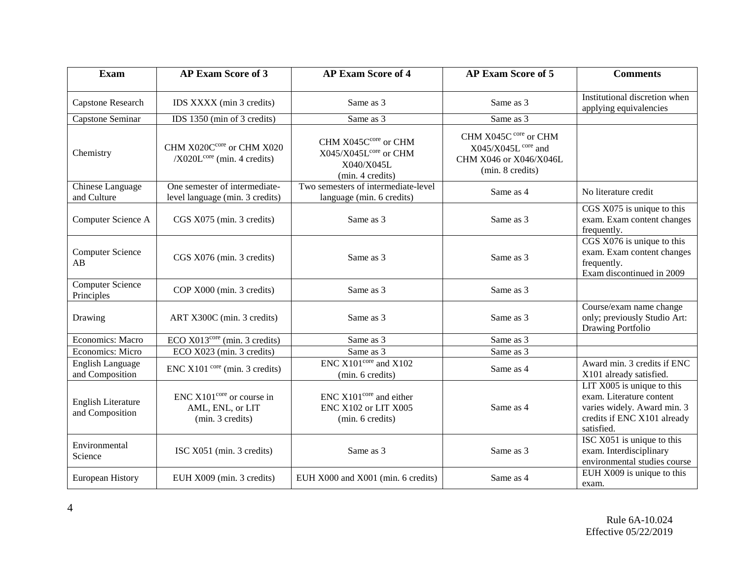| <b>Exam</b>                                  | <b>AP Exam Score of 3</b>                                                     | <b>AP Exam Score of 4</b>                                                                   | <b>AP Exam Score of 5</b>                                                                               | <b>Comments</b>                                                                                                                      |
|----------------------------------------------|-------------------------------------------------------------------------------|---------------------------------------------------------------------------------------------|---------------------------------------------------------------------------------------------------------|--------------------------------------------------------------------------------------------------------------------------------------|
| Capstone Research                            | IDS XXXX (min 3 credits)                                                      | Same as 3                                                                                   | Same as 3                                                                                               | Institutional discretion when<br>applying equivalencies                                                                              |
| Capstone Seminar                             | IDS 1350 (min of 3 credits)                                                   | Same as 3                                                                                   | Same as 3                                                                                               |                                                                                                                                      |
| Chemistry                                    | CHM X020Ccore or CHM X020<br>$/X020Lcore$ (min. 4 credits)                    | CHM X045Ccore or CHM<br>X045/X045L <sup>core</sup> or CHM<br>X040/X045L<br>(min. 4 credits) | CHM X045C core or CHM<br>$X045/X045L$ <sup>core</sup> and<br>CHM X046 or X046/X046L<br>(min. 8 credits) |                                                                                                                                      |
| Chinese Language<br>and Culture              | One semester of intermediate-<br>level language (min. 3 credits)              | Two semesters of intermediate-level<br>language (min. 6 credits)                            | Same as 4                                                                                               | No literature credit                                                                                                                 |
| Computer Science A                           | CGS X075 (min. 3 credits)                                                     | Same as 3                                                                                   | Same as 3                                                                                               | CGS X075 is unique to this<br>exam. Exam content changes<br>frequently.                                                              |
| Computer Science<br>AB                       | CGS X076 (min. 3 credits)                                                     | Same as 3                                                                                   | Same as 3                                                                                               | CGS X076 is unique to this<br>exam. Exam content changes<br>frequently.<br>Exam discontinued in 2009                                 |
| <b>Computer Science</b><br>Principles        | COP X000 (min. 3 credits)                                                     | Same as 3                                                                                   | Same as 3                                                                                               |                                                                                                                                      |
| Drawing                                      | ART X300C (min. 3 credits)                                                    | Same as 3                                                                                   | Same as 3                                                                                               | Course/exam name change<br>only; previously Studio Art:<br>Drawing Portfolio                                                         |
| <b>Economics: Macro</b>                      | ECO $X013core$ (min. 3 credits)                                               | Same as 3                                                                                   | Same as 3                                                                                               |                                                                                                                                      |
| Economics: Micro                             | ECO X023 (min. 3 credits)                                                     | Same as 3                                                                                   | Same as 3                                                                                               |                                                                                                                                      |
| <b>English Language</b><br>and Composition   | $ENC X101core (min. 3 credits)$                                               | $ENC X101core$ and $X102$<br>(min. 6 credits)                                               | Same as 4                                                                                               | Award min. 3 credits if ENC<br>X101 already satisfied.                                                                               |
| <b>English Literature</b><br>and Composition | ENC X101 <sup>core</sup> or course in<br>AML, ENL, or LIT<br>(min. 3 credits) | $ENC X101core$ and either<br>ENC X102 or LIT X005<br>(min. 6 credits)                       | Same as 4                                                                                               | LIT $X005$ is unique to this<br>exam. Literature content<br>varies widely. Award min. 3<br>credits if ENC X101 already<br>satisfied. |
| Environmental<br>Science                     | ISC X051 (min. 3 credits)                                                     | Same as 3                                                                                   | Same as 3                                                                                               | ISC X051 is unique to this<br>exam. Interdisciplinary<br>environmental studies course                                                |
| European History                             | EUH X009 (min. 3 credits)                                                     | EUH X000 and X001 (min. 6 credits)                                                          | Same as 4                                                                                               | EUH X009 is unique to this<br>exam.                                                                                                  |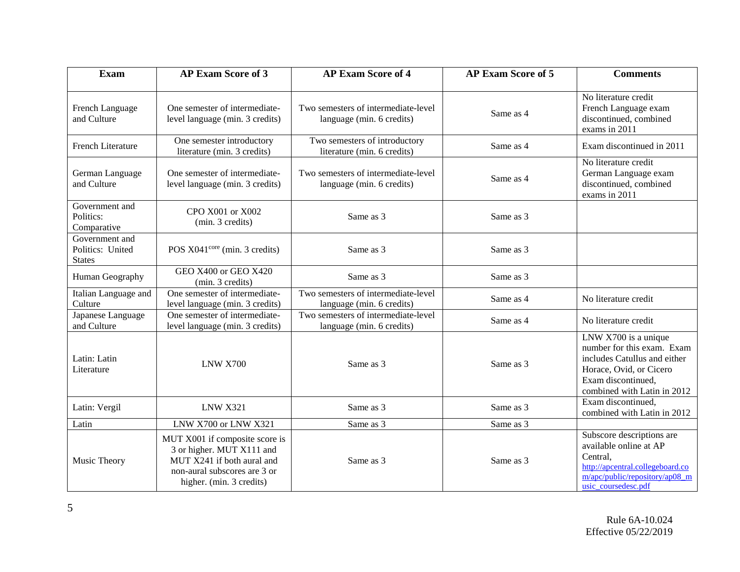| <b>Exam</b>                                         | <b>AP Exam Score of 3</b>                                                                                                                             | <b>AP Exam Score of 4</b>                                        | <b>AP Exam Score of 5</b> | <b>Comments</b>                                                                                                                                                    |
|-----------------------------------------------------|-------------------------------------------------------------------------------------------------------------------------------------------------------|------------------------------------------------------------------|---------------------------|--------------------------------------------------------------------------------------------------------------------------------------------------------------------|
| French Language<br>and Culture                      | One semester of intermediate-<br>level language (min. 3 credits)                                                                                      | Two semesters of intermediate-level<br>language (min. 6 credits) | Same as 4                 | No literature credit<br>French Language exam<br>discontinued, combined<br>exams in 2011                                                                            |
| French Literature                                   | One semester introductory<br>literature (min. 3 credits)                                                                                              | Two semesters of introductory<br>literature (min. 6 credits)     | Same as 4                 | Exam discontinued in 2011                                                                                                                                          |
| German Language<br>and Culture                      | One semester of intermediate-<br>level language (min. 3 credits)                                                                                      | Two semesters of intermediate-level<br>language (min. 6 credits) | Same as 4                 | No literature credit<br>German Language exam<br>discontinued, combined<br>exams in 2011                                                                            |
| Government and<br>Politics:<br>Comparative          | CPO X001 or X002<br>(min. 3 credits)                                                                                                                  | Same as 3                                                        | Same as 3                 |                                                                                                                                                                    |
| Government and<br>Politics: United<br><b>States</b> | POS X041 <sup>core</sup> (min. 3 credits)                                                                                                             | Same as 3                                                        | Same as 3                 |                                                                                                                                                                    |
| Human Geography                                     | GEO X400 or GEO X420<br>(min. 3 credits)                                                                                                              | Same as 3                                                        | Same as 3                 |                                                                                                                                                                    |
| Italian Language and<br>Culture                     | One semester of intermediate-<br>level language (min. 3 credits)                                                                                      | Two semesters of intermediate-level<br>language (min. 6 credits) | Same as 4                 | No literature credit                                                                                                                                               |
| Japanese Language<br>and Culture                    | One semester of intermediate-<br>level language (min. 3 credits)                                                                                      | Two semesters of intermediate-level<br>language (min. 6 credits) | Same as 4                 | No literature credit                                                                                                                                               |
| Latin: Latin<br>Literature                          | LNW X700                                                                                                                                              | Same as 3                                                        | Same as 3                 | LNW X700 is a unique<br>number for this exam. Exam<br>includes Catullus and either<br>Horace, Ovid, or Cicero<br>Exam discontinued,<br>combined with Latin in 2012 |
| Latin: Vergil                                       | <b>LNW X321</b>                                                                                                                                       | Same as 3                                                        | Same as 3                 | Exam discontinued,<br>combined with Latin in 2012                                                                                                                  |
| Latin                                               | LNW X700 or LNW X321                                                                                                                                  | Same as 3                                                        | Same as 3                 |                                                                                                                                                                    |
| Music Theory                                        | MUT X001 if composite score is<br>3 or higher. MUT X111 and<br>MUT X241 if both aural and<br>non-aural subscores are 3 or<br>higher. (min. 3 credits) | Same as 3                                                        | Same as 3                 | Subscore descriptions are<br>available online at AP<br>Central.<br>http://apcentral.collegeboard.co<br>$m/apc/public/repository/ap08$ m<br>usic_coursedesc.pdf     |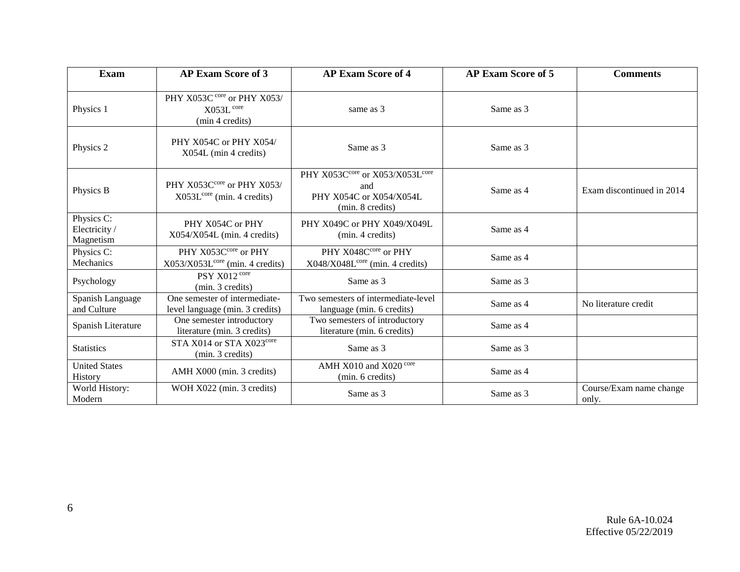| <b>Exam</b>                              | <b>AP Exam Score of 3</b>                                           | <b>AP Exam Score of 4</b>                                                             | <b>AP Exam Score of 5</b> | <b>Comments</b>                  |
|------------------------------------------|---------------------------------------------------------------------|---------------------------------------------------------------------------------------|---------------------------|----------------------------------|
| Physics 1                                | PHY X053C core or PHY X053/<br>$X053L$ core<br>(min 4 credits)      | same as 3                                                                             | Same as 3                 |                                  |
| Physics 2                                | PHY X054C or PHY X054/<br>X054L (min 4 credits)                     | Same as 3                                                                             | Same as 3                 |                                  |
| Physics B                                | PHY X053Ccore or PHY X053/<br>$X053Lcore$ (min. 4 credits)          | PHY X053Ccore or X053/X053Lcore<br>and<br>PHY X054C or X054/X054L<br>(min. 8 credits) | Same as 4                 | Exam discontinued in 2014        |
| Physics C:<br>Electricity /<br>Magnetism | PHY X054C or PHY<br>$X054/X054L$ (min. 4 credits)                   | PHY X049C or PHY X049/X049L<br>(min. 4 credits)                                       | Same as 4                 |                                  |
| Physics C:<br>Mechanics                  | PHY X053Ccore or PHY<br>X053/X053L <sup>core</sup> (min. 4 credits) | PHY X048Ccore or PHY<br>X048/X048L <sup>core</sup> (min. 4 credits)                   | Same as 4                 |                                  |
| Psychology                               | PSY X012 core<br>(min. 3 credits)                                   | Same as 3                                                                             | Same as 3                 |                                  |
| Spanish Language<br>and Culture          | One semester of intermediate-<br>level language (min. 3 credits)    | Two semesters of intermediate-level<br>language (min. 6 credits)                      | Same as 4                 | No literature credit             |
| Spanish Literature                       | One semester introductory<br>literature (min. 3 credits)            | Two semesters of introductory<br>literature (min. 6 credits)                          | Same as 4                 |                                  |
| <b>Statistics</b>                        | STA X014 or STA X023core<br>(min. 3 credits)                        | Same as 3                                                                             | Same as 3                 |                                  |
| <b>United States</b><br>History          | AMH X000 (min. 3 credits)                                           | AMH X010 and X020 core<br>(min. 6 credits)                                            | Same as 4                 |                                  |
| World History:<br>Modern                 | WOH X022 (min. 3 credits)                                           | Same as 3                                                                             | Same as 3                 | Course/Exam name change<br>only. |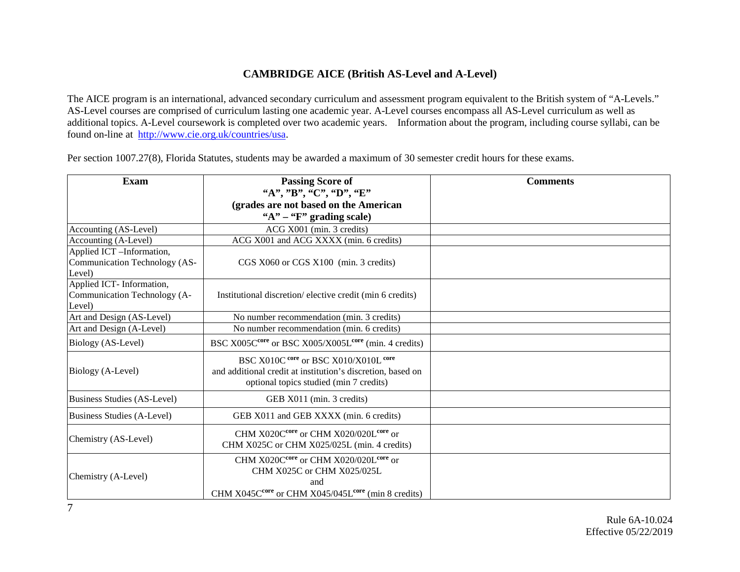# **CAMBRIDGE AICE (British AS-Level and A-Level)**

The AICE program is an international, advanced secondary curriculum and assessment program equivalent to the British system of "A-Levels." AS-Level courses are comprised of curriculum lasting one academic year. A-Level courses encompass all AS-Level curriculum as well as additional topics. A-Level coursework is completed over two academic years. Information about the program, including course syllabi, can be found on-line at [http://www.cie.org.uk/countries/usa.](http://www.cie.org.uk/countries/usa)

Per section 1007.27(8), Florida Statutes, students may be awarded a maximum of 30 semester credit hours for these exams.

| <b>Exam</b>                                                         | <b>Passing Score of</b><br>"A", "B", "C", "D", "E"                                                                                                                               | <b>Comments</b> |
|---------------------------------------------------------------------|----------------------------------------------------------------------------------------------------------------------------------------------------------------------------------|-----------------|
|                                                                     |                                                                                                                                                                                  |                 |
|                                                                     | (grades are not based on the American<br>" $A$ " – " $F$ " grading scale)                                                                                                        |                 |
| Accounting (AS-Level)                                               | ACG X001 (min. 3 credits)                                                                                                                                                        |                 |
| Accounting (A-Level)                                                | ACG X001 and ACG XXXX (min. 6 credits)                                                                                                                                           |                 |
| Applied ICT -Information,                                           |                                                                                                                                                                                  |                 |
| Communication Technology (AS-<br>Level)                             | CGS X060 or CGS X100 (min. 3 credits)                                                                                                                                            |                 |
| Applied ICT- Information,<br>Communication Technology (A-<br>Level) | Institutional discretion/elective credit (min 6 credits)                                                                                                                         |                 |
| Art and Design (AS-Level)                                           | No number recommendation (min. 3 credits)                                                                                                                                        |                 |
| Art and Design (A-Level)                                            | No number recommendation (min. 6 credits)                                                                                                                                        |                 |
| Biology (AS-Level)                                                  | BSC X005C <sup>core</sup> or BSC X005/X005L <sup>core</sup> (min. 4 credits)                                                                                                     |                 |
| Biology (A-Level)                                                   | BSC X010C core or BSC X010/X010L core<br>and additional credit at institution's discretion, based on<br>optional topics studied (min 7 credits)                                  |                 |
| Business Studies (AS-Level)                                         | GEB X011 (min. 3 credits)                                                                                                                                                        |                 |
| Business Studies (A-Level)                                          | GEB X011 and GEB XXXX (min. 6 credits)                                                                                                                                           |                 |
| Chemistry (AS-Level)                                                | CHM X020C <sup>core</sup> or CHM X020/020L <sup>core</sup> or<br>CHM X025C or CHM X025/025L (min. 4 credits)                                                                     |                 |
| Chemistry (A-Level)                                                 | CHM X020C <sup>core</sup> or CHM X020/020L <sup>core</sup> or<br>CHM X025C or CHM X025/025L<br>and<br>CHM X045C <sup>core</sup> or CHM X045/045L <sup>core</sup> (min 8 credits) |                 |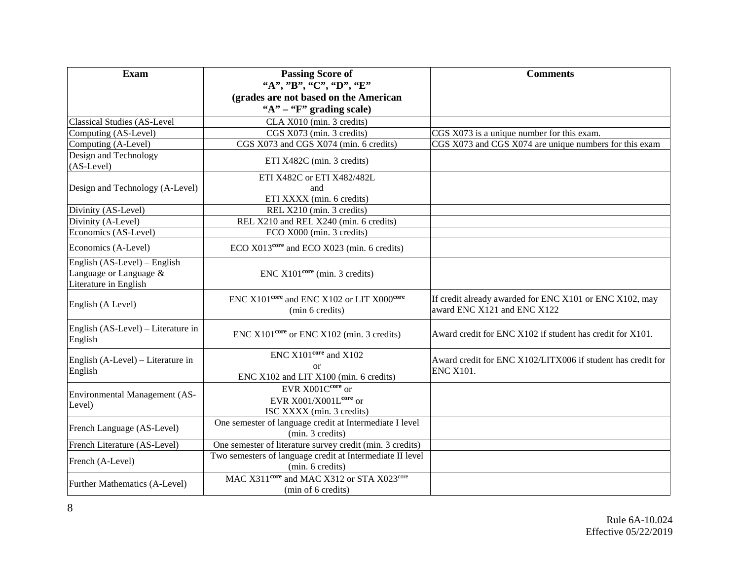| Exam                                                                            | <b>Passing Score of</b>                                                                 | <b>Comments</b>                                                                        |
|---------------------------------------------------------------------------------|-----------------------------------------------------------------------------------------|----------------------------------------------------------------------------------------|
|                                                                                 | "A", "B", "C", "D", "E"                                                                 |                                                                                        |
|                                                                                 | (grades are not based on the American                                                   |                                                                                        |
|                                                                                 | " $A$ " – " $F$ " grading scale)                                                        |                                                                                        |
| Classical Studies (AS-Level                                                     | CLA X010 (min. 3 credits)                                                               |                                                                                        |
| Computing (AS-Level)                                                            | CGS X073 (min. 3 credits)                                                               | CGS X073 is a unique number for this exam.                                             |
| Computing (A-Level)                                                             | CGS X073 and CGS X074 (min. 6 credits)                                                  | CGS X073 and CGS X074 are unique numbers for this exam                                 |
| Design and Technology<br>$(AS-Level)$                                           | ETI X482C (min. 3 credits)                                                              |                                                                                        |
|                                                                                 | ETI X482C or ETI X482/482L                                                              |                                                                                        |
| Design and Technology (A-Level)                                                 | and                                                                                     |                                                                                        |
|                                                                                 | ETI XXXX (min. 6 credits)                                                               |                                                                                        |
| Divinity (AS-Level)                                                             | REL X210 (min. 3 credits)                                                               |                                                                                        |
| Divinity (A-Level)                                                              | REL X210 and REL X240 (min. 6 credits)                                                  |                                                                                        |
| Economics (AS-Level)                                                            | ECO X000 (min. 3 credits)                                                               |                                                                                        |
| Economics (A-Level)                                                             | ECO X013 <sup>core</sup> and ECO X023 (min. 6 credits)                                  |                                                                                        |
| English (AS-Level) – English<br>Language or Language &<br>Literature in English | $ENC X101core$ (min. 3 credits)                                                         |                                                                                        |
| English (A Level)                                                               | ENC X101 <sup>core</sup> and ENC X102 or LIT X000 <sup>core</sup><br>(min 6 credits)    | If credit already awarded for ENC X101 or ENC X102, may<br>award ENC X121 and ENC X122 |
| English (AS-Level) – Literature in<br>English                                   | ENC X101 <sup>core</sup> or ENC X102 (min. 3 credits)                                   | Award credit for ENC X102 if student has credit for X101.                              |
| English (A-Level) – Literature in<br>English                                    | $ENC X101core$ and $X102$<br>$\alpha$<br>ENC X102 and LIT X100 (min. 6 credits)         | Award credit for ENC X102/LITX006 if student has credit for<br><b>ENC X101.</b>        |
| Environmental Management (AS-<br>Level)                                         | EVR X001Ccore or<br>EVR X001/X001Lcore or<br>ISC XXXX (min. 3 credits)                  |                                                                                        |
| French Language (AS-Level)                                                      | One semester of language credit at Intermediate I level<br>(min. 3 credits)             |                                                                                        |
| French Literature (AS-Level)                                                    | One semester of literature survey credit (min. 3 credits)                               |                                                                                        |
| French (A-Level)                                                                | Two semesters of language credit at Intermediate II level<br>(min. 6 credits)           |                                                                                        |
| Further Mathematics (A-Level)                                                   | MAC X311 <sup>core</sup> and MAC X312 or STA X023 <sup>core</sup><br>(min of 6 credits) |                                                                                        |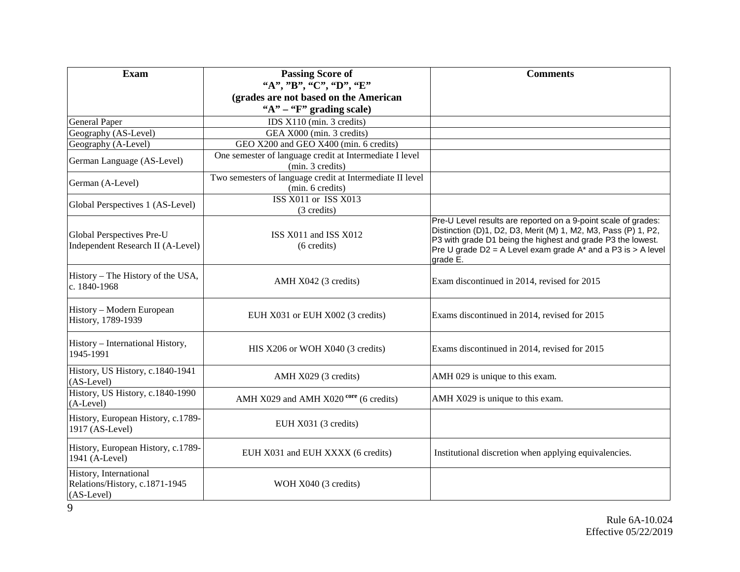| <b>Exam</b>                                                              | <b>Passing Score of</b>                                                       | <b>Comments</b>                                                                                                                                                                                                                                                                |
|--------------------------------------------------------------------------|-------------------------------------------------------------------------------|--------------------------------------------------------------------------------------------------------------------------------------------------------------------------------------------------------------------------------------------------------------------------------|
|                                                                          | "A", "B", "C", "D", "E"                                                       |                                                                                                                                                                                                                                                                                |
|                                                                          | (grades are not based on the American                                         |                                                                                                                                                                                                                                                                                |
|                                                                          | " $A$ " – " $F$ " grading scale)                                              |                                                                                                                                                                                                                                                                                |
| <b>General Paper</b>                                                     | IDS X110 (min. 3 credits)                                                     |                                                                                                                                                                                                                                                                                |
| Geography (AS-Level)                                                     | GEA X000 (min. 3 credits)                                                     |                                                                                                                                                                                                                                                                                |
| Geography (A-Level)                                                      | GEO X200 and GEO X400 (min. 6 credits)                                        |                                                                                                                                                                                                                                                                                |
| German Language (AS-Level)                                               | One semester of language credit at Intermediate I level                       |                                                                                                                                                                                                                                                                                |
|                                                                          | (min. 3 credits)                                                              |                                                                                                                                                                                                                                                                                |
| German (A-Level)                                                         | Two semesters of language credit at Intermediate II level<br>(min. 6 credits) |                                                                                                                                                                                                                                                                                |
| Global Perspectives 1 (AS-Level)                                         | ISS X011 or ISS X013                                                          |                                                                                                                                                                                                                                                                                |
|                                                                          | (3 credits)                                                                   |                                                                                                                                                                                                                                                                                |
| Global Perspectives Pre-U<br>Independent Research II (A-Level)           | ISS X011 and ISS X012<br>$(6 \text{ credits})$                                | Pre-U Level results are reported on a 9-point scale of grades:<br>Distinction (D)1, D2, D3, Merit (M) 1, M2, M3, Pass (P) 1, P2,<br>P3 with grade D1 being the highest and grade P3 the lowest.<br>Pre U grade D2 = A Level exam grade $A^*$ and a P3 is > A level<br>grade E. |
| History – The History of the USA,<br>c. 1840-1968                        | AMH X042 (3 credits)                                                          | Exam discontinued in 2014, revised for 2015                                                                                                                                                                                                                                    |
| History - Modern European<br>History, 1789-1939                          | EUH X031 or EUH X002 (3 credits)                                              | Exams discontinued in 2014, revised for 2015                                                                                                                                                                                                                                   |
| History - International History,<br>1945-1991                            | HIS X206 or WOH X040 (3 credits)                                              | Exams discontinued in 2014, revised for 2015                                                                                                                                                                                                                                   |
| History, US History, c.1840-1941<br>$(AS-Level)$                         | AMH X029 (3 credits)                                                          | AMH 029 is unique to this exam.                                                                                                                                                                                                                                                |
| History, US History, c.1840-1990<br>$(A-Level)$                          | AMH $X029$ and AMH $X020$ <sup>core</sup> (6 credits)                         | AMH X029 is unique to this exam.                                                                                                                                                                                                                                               |
| History, European History, c.1789-<br>1917 (AS-Level)                    | EUH X031 (3 credits)                                                          |                                                                                                                                                                                                                                                                                |
| History, European History, c.1789-<br>1941 (A-Level)                     | EUH X031 and EUH XXXX (6 credits)                                             | Institutional discretion when applying equivalencies.                                                                                                                                                                                                                          |
| History, International<br>Relations/History, c.1871-1945<br>$(AS-Level)$ | WOH X040 (3 credits)                                                          |                                                                                                                                                                                                                                                                                |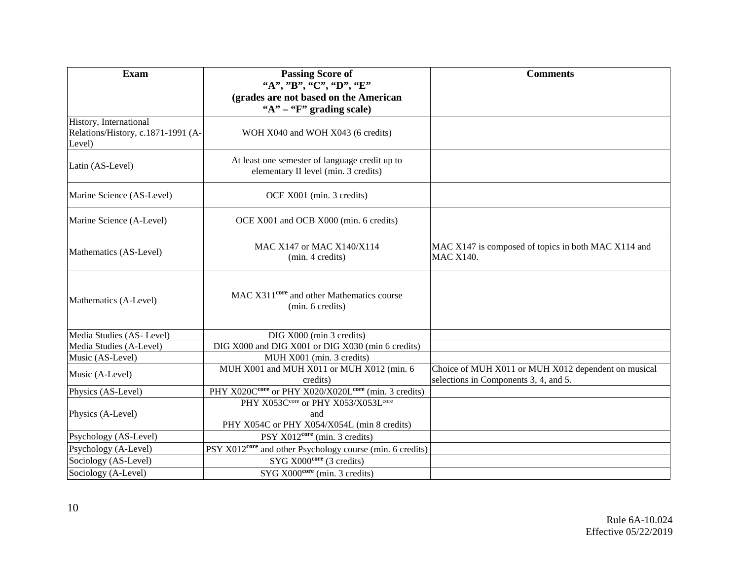| <b>Exam</b>                                                            | <b>Passing Score of</b>                                                                | <b>Comments</b>                                                                              |
|------------------------------------------------------------------------|----------------------------------------------------------------------------------------|----------------------------------------------------------------------------------------------|
|                                                                        | "A", "B", "C", "D", "E"                                                                |                                                                                              |
|                                                                        | (grades are not based on the American                                                  |                                                                                              |
|                                                                        | " $A$ " – " $F$ " grading scale)                                                       |                                                                                              |
| History, International<br>Relations/History, c.1871-1991 (A-<br>Level) | WOH X040 and WOH X043 (6 credits)                                                      |                                                                                              |
| Latin (AS-Level)                                                       | At least one semester of language credit up to<br>elementary II level (min. 3 credits) |                                                                                              |
| Marine Science (AS-Level)                                              | OCE X001 (min. 3 credits)                                                              |                                                                                              |
| Marine Science (A-Level)                                               | OCE X001 and OCB X000 (min. 6 credits)                                                 |                                                                                              |
| Mathematics (AS-Level)                                                 | MAC X147 or MAC X140/X114<br>(min. 4 credits)                                          | MAC X147 is composed of topics in both MAC X114 and<br><b>MAC X140.</b>                      |
| Mathematics (A-Level)                                                  | MAC X311 <sup>core</sup> and other Mathematics course<br>(min. 6 credits)              |                                                                                              |
| Media Studies (AS-Level)                                               | DIG X000 (min 3 credits)                                                               |                                                                                              |
| Media Studies (A-Level)                                                | DIG X000 and DIG X001 or DIG X030 (min 6 credits)                                      |                                                                                              |
| Music (AS-Level)                                                       | MUH X001 (min. 3 credits)                                                              |                                                                                              |
| Music (A-Level)                                                        | MUH X001 and MUH X011 or MUH X012 (min. 6<br>credits)                                  | Choice of MUH X011 or MUH X012 dependent on musical<br>selections in Components 3, 4, and 5. |
| Physics (AS-Level)                                                     | PHY X020Ccore or PHY X020/X020Lcore (min. 3 credits)                                   |                                                                                              |
|                                                                        | PHY X053Ccore or PHY X053/X053Lcore                                                    |                                                                                              |
| Physics (A-Level)                                                      | and                                                                                    |                                                                                              |
|                                                                        | PHY X054C or PHY X054/X054L (min 8 credits)                                            |                                                                                              |
| Psychology (AS-Level)                                                  | PSY $X012core$ (min. 3 credits)                                                        |                                                                                              |
| Psychology (A-Level)                                                   | PSY X012 <sup>core</sup> and other Psychology course (min. 6 credits)                  |                                                                                              |
| Sociology (AS-Level)                                                   | $SYG X000core$ (3 credits)                                                             |                                                                                              |
| Sociology (A-Level)                                                    | SYG X000 <sup>core</sup> (min. 3 credits)                                              |                                                                                              |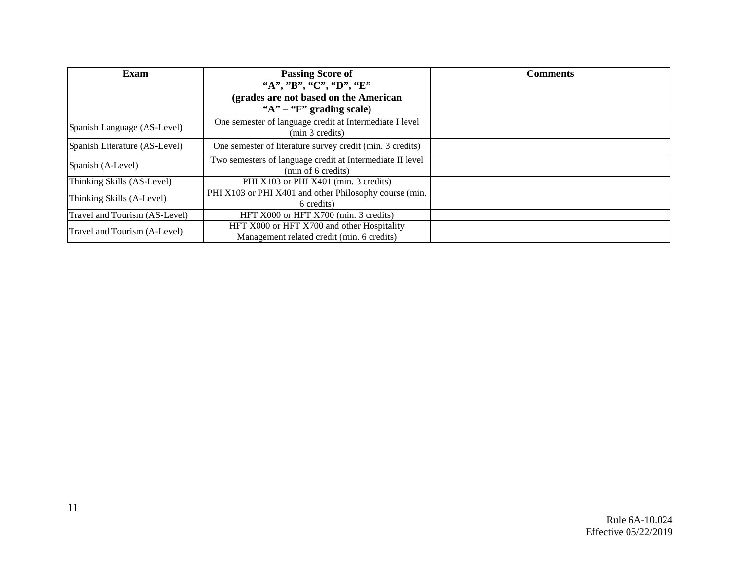| Exam                          | <b>Passing Score of</b>                                                                  | <b>Comments</b> |
|-------------------------------|------------------------------------------------------------------------------------------|-----------------|
|                               | "A", "B", "C", "D", "E"                                                                  |                 |
|                               | (grades are not based on the American                                                    |                 |
|                               | " $A$ " – " $F$ " grading scale)                                                         |                 |
| Spanish Language (AS-Level)   | One semester of language credit at Intermediate I level<br>(min 3 credits)               |                 |
| Spanish Literature (AS-Level) | One semester of literature survey credit (min. 3 credits)                                |                 |
| Spanish (A-Level)             | Two semesters of language credit at Intermediate II level<br>(min of 6 credits)          |                 |
| Thinking Skills (AS-Level)    | PHI X103 or PHI X401 (min. 3 credits)                                                    |                 |
| Thinking Skills (A-Level)     | PHI X103 or PHI X401 and other Philosophy course (min.<br>6 credits)                     |                 |
| Travel and Tourism (AS-Level) | HFT X000 or HFT X700 (min. 3 credits)                                                    |                 |
| Travel and Tourism (A-Level)  | HFT X000 or HFT X700 and other Hospitality<br>Management related credit (min. 6 credits) |                 |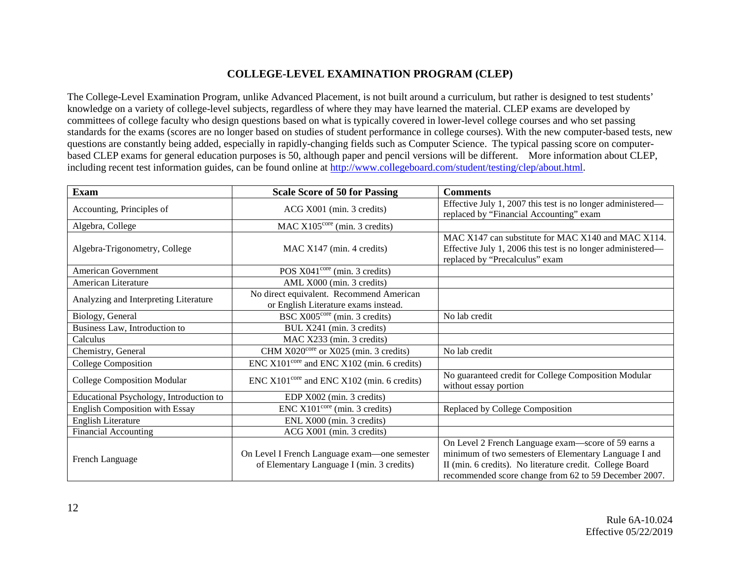## **COLLEGE-LEVEL EXAMINATION PROGRAM (CLEP)**

The College-Level Examination Program, unlike Advanced Placement, is not built around a curriculum, but rather is designed to test students' knowledge on a variety of college-level subjects, regardless of where they may have learned the material. CLEP exams are developed by committees of college faculty who design questions based on what is typically covered in lower-level college courses and who set passing standards for the exams (scores are no longer based on studies of student performance in college courses). With the new computer-based tests, new questions are constantly being added, especially in rapidly-changing fields such as Computer Science. The typical passing score on computerbased CLEP exams for general education purposes is 50, although paper and pencil versions will be different. More information about CLEP, including recent test information guides, can be found online at [http://www.collegeboard.com/student/testing/clep/about.html.](http://www.collegeboard.com/student/testing/clep/about.html)

| <b>Exam</b>                             | <b>Scale Score of 50 for Passing</b>                                                      | <b>Comments</b>                                                                                                                                                                                                                   |
|-----------------------------------------|-------------------------------------------------------------------------------------------|-----------------------------------------------------------------------------------------------------------------------------------------------------------------------------------------------------------------------------------|
| Accounting, Principles of               | ACG X001 (min. 3 credits)                                                                 | Effective July 1, 2007 this test is no longer administered—<br>replaced by "Financial Accounting" exam                                                                                                                            |
| Algebra, College                        | MAC $X105^{\text{core}}$ (min. 3 credits)                                                 |                                                                                                                                                                                                                                   |
| Algebra-Trigonometry, College           | MAC X147 (min. 4 credits)                                                                 | MAC X147 can substitute for MAC X140 and MAC X114.<br>Effective July 1, 2006 this test is no longer administered—<br>replaced by "Precalculus" exam                                                                               |
| American Government                     | POS $X041^{\text{core}}$ (min. 3 credits)                                                 |                                                                                                                                                                                                                                   |
| American Literature                     | AML X000 (min. 3 credits)                                                                 |                                                                                                                                                                                                                                   |
| Analyzing and Interpreting Literature   | No direct equivalent. Recommend American<br>or English Literature exams instead.          |                                                                                                                                                                                                                                   |
| Biology, General                        | BSC X005 <sup>core</sup> (min. 3 credits)                                                 | No lab credit                                                                                                                                                                                                                     |
| Business Law, Introduction to           | BUL X241 (min. 3 credits)                                                                 |                                                                                                                                                                                                                                   |
| Calculus                                | MAC X233 (min. 3 credits)                                                                 |                                                                                                                                                                                                                                   |
| Chemistry, General                      | CHM X020 <sup>core</sup> or X025 (min. 3 credits)                                         | No lab credit                                                                                                                                                                                                                     |
| <b>College Composition</b>              | $ENC X101core$ and $ENC X102$ (min. 6 credits)                                            |                                                                                                                                                                                                                                   |
| <b>College Composition Modular</b>      | $ENC X101core$ and $ENC X102$ (min. 6 credits)                                            | No guaranteed credit for College Composition Modular<br>without essay portion                                                                                                                                                     |
| Educational Psychology, Introduction to | EDP X002 (min. 3 credits)                                                                 |                                                                                                                                                                                                                                   |
| English Composition with Essay          | $ENC X101core$ (min. 3 credits)                                                           | Replaced by College Composition                                                                                                                                                                                                   |
| <b>English Literature</b>               | ENL X000 (min. 3 credits)                                                                 |                                                                                                                                                                                                                                   |
| <b>Financial Accounting</b>             | ACG X001 (min. 3 credits)                                                                 |                                                                                                                                                                                                                                   |
| French Language                         | On Level I French Language exam—one semester<br>of Elementary Language I (min. 3 credits) | On Level 2 French Language exam-score of 59 earns a<br>minimum of two semesters of Elementary Language I and<br>II (min. 6 credits). No literature credit. College Board<br>recommended score change from 62 to 59 December 2007. |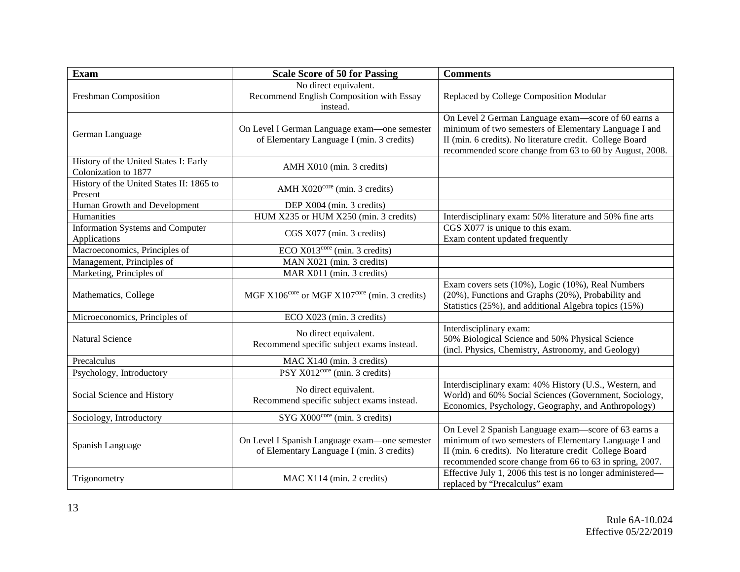| <b>Exam</b>                                                   | <b>Scale Score of 50 for Passing</b>                                                       | <b>Comments</b>                                                                                                                                                                                                                     |
|---------------------------------------------------------------|--------------------------------------------------------------------------------------------|-------------------------------------------------------------------------------------------------------------------------------------------------------------------------------------------------------------------------------------|
| Freshman Composition                                          | No direct equivalent.<br>Recommend English Composition with Essay<br>instead.              | Replaced by College Composition Modular                                                                                                                                                                                             |
| German Language                                               | On Level I German Language exam-one semester<br>of Elementary Language I (min. 3 credits)  | On Level 2 German Language exam-score of 60 earns a<br>minimum of two semesters of Elementary Language I and<br>II (min. 6 credits). No literature credit. College Board<br>recommended score change from 63 to 60 by August, 2008. |
| History of the United States I: Early<br>Colonization to 1877 | AMH X010 (min. 3 credits)                                                                  |                                                                                                                                                                                                                                     |
| History of the United States II: 1865 to<br>Present           | AMH X020 <sup>core</sup> (min. 3 credits)                                                  |                                                                                                                                                                                                                                     |
| Human Growth and Development                                  | DEP X004 (min. 3 credits)                                                                  |                                                                                                                                                                                                                                     |
| Humanities                                                    | HUM X235 or HUM X250 (min. 3 credits)                                                      | Interdisciplinary exam: 50% literature and 50% fine arts                                                                                                                                                                            |
| <b>Information Systems and Computer</b><br>Applications       | CGS X077 (min. 3 credits)                                                                  | CGS X077 is unique to this exam.<br>Exam content updated frequently                                                                                                                                                                 |
| Macroeconomics, Principles of                                 | ECO X013 <sup>core</sup> (min. 3 credits)                                                  |                                                                                                                                                                                                                                     |
| Management, Principles of                                     | MAN X021 (min. 3 credits)                                                                  |                                                                                                                                                                                                                                     |
| Marketing, Principles of                                      | MAR X011 (min. 3 credits)                                                                  |                                                                                                                                                                                                                                     |
| Mathematics, College                                          | MGF X106 <sup>core</sup> or MGF X107 <sup>core</sup> (min. 3 credits)                      | Exam covers sets (10%), Logic (10%), Real Numbers<br>(20%), Functions and Graphs (20%), Probability and<br>Statistics (25%), and additional Algebra topics (15%)                                                                    |
| Microeconomics, Principles of                                 | ECO X023 (min. 3 credits)                                                                  |                                                                                                                                                                                                                                     |
| <b>Natural Science</b>                                        | No direct equivalent.<br>Recommend specific subject exams instead.                         | Interdisciplinary exam:<br>50% Biological Science and 50% Physical Science<br>(incl. Physics, Chemistry, Astronomy, and Geology)                                                                                                    |
| Precalculus                                                   | MAC X140 (min. 3 credits)                                                                  |                                                                                                                                                                                                                                     |
| Psychology, Introductory                                      | PSY $X012^{\text{core}}$ (min. 3 credits)                                                  |                                                                                                                                                                                                                                     |
| Social Science and History                                    | No direct equivalent.<br>Recommend specific subject exams instead.                         | Interdisciplinary exam: 40% History (U.S., Western, and<br>World) and 60% Social Sciences (Government, Sociology,<br>Economics, Psychology, Geography, and Anthropology)                                                            |
| Sociology, Introductory                                       | SYG X000 <sup>core</sup> (min. 3 credits)                                                  |                                                                                                                                                                                                                                     |
| Spanish Language                                              | On Level I Spanish Language exam-one semester<br>of Elementary Language I (min. 3 credits) | On Level 2 Spanish Language exam-score of 63 earns a<br>minimum of two semesters of Elementary Language I and<br>II (min. 6 credits). No literature credit College Board<br>recommended score change from 66 to 63 in spring, 2007. |
| Trigonometry                                                  | MAC X114 (min. 2 credits)                                                                  | Effective July 1, 2006 this test is no longer administered—<br>replaced by "Precalculus" exam                                                                                                                                       |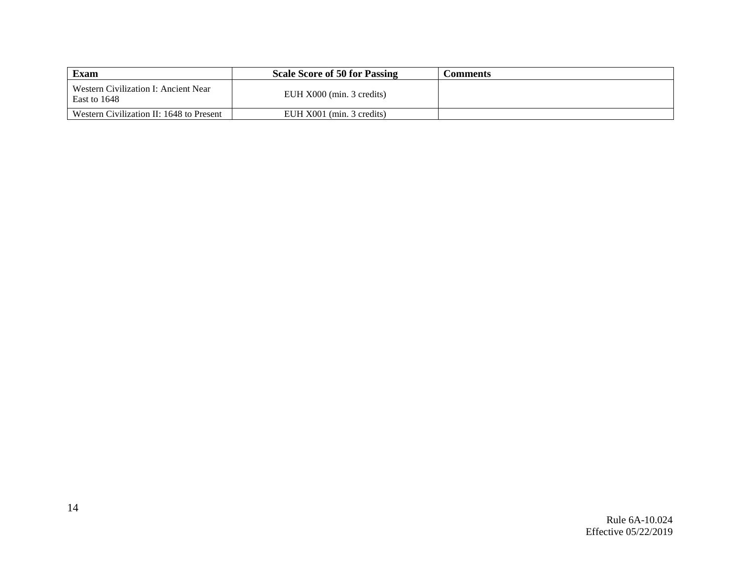| <b>Exam</b>                                          | <b>Scale Score of 50 for Passing</b> | Comments |
|------------------------------------------------------|--------------------------------------|----------|
| Western Civilization I: Ancient Near<br>East to 1648 | EUH X000 (min. 3 credits)            |          |
| Western Civilization II: 1648 to Present             | EUH X001 (min. 3 credits)            |          |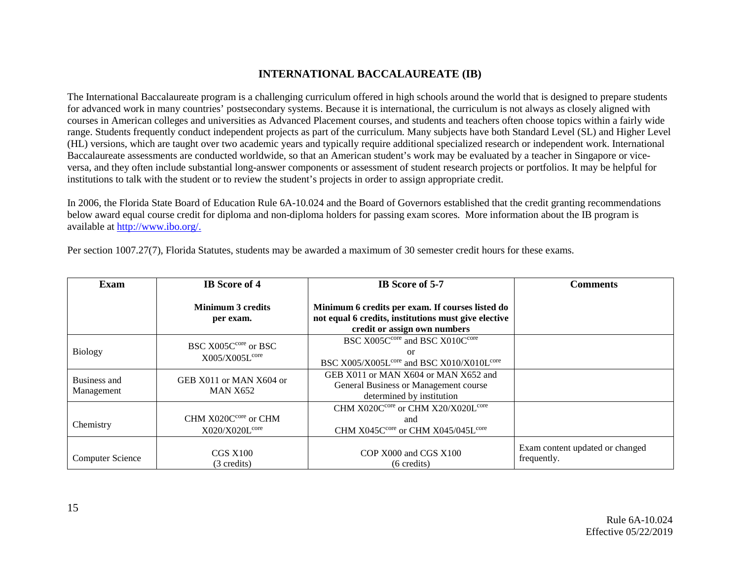### **INTERNATIONAL BACCALAUREATE (IB)**

The International Baccalaureate program is a challenging curriculum offered in high schools around the world that is designed to prepare students for advanced work in many countries' postsecondary systems. Because it is international, the curriculum is not always as closely aligned with courses in American colleges and universities as Advanced Placement courses, and students and teachers often choose topics within a fairly wide range. Students frequently conduct independent projects as part of the curriculum. Many subjects have both Standard Level (SL) and Higher Level (HL) versions, which are taught over two academic years and typically require additional specialized research or independent work. International Baccalaureate assessments are conducted worldwide, so that an American student's work may be evaluated by a teacher in Singapore or viceversa, and they often include substantial long-answer components or assessment of student research projects or portfolios. It may be helpful for institutions to talk with the student or to review the student's projects in order to assign appropriate credit.

In 2006, the Florida State Board of Education Rule 6A-10.024 and the Board of Governors established that the credit granting recommendations below award equal course credit for diploma and non-diploma holders for passing exam scores. More information about the IB program is available at [http://www.ibo.org/.](http://www.ibo.org/)

| Exam                       | <b>IB</b> Score of 4                                           | IB Score of 5-7                                                                                                                          | <b>Comments</b>                                |
|----------------------------|----------------------------------------------------------------|------------------------------------------------------------------------------------------------------------------------------------------|------------------------------------------------|
|                            | Minimum 3 credits<br>per exam.                                 | Minimum 6 credits per exam. If courses listed do<br>not equal 6 credits, institutions must give elective<br>credit or assign own numbers |                                                |
| Biology                    | BSC X005C <sup>core</sup> or BSC<br>X005/X005L <sup>core</sup> | BSC X005C <sup>core</sup> and BSC X010C <sup>core</sup><br>or<br>BSC X005/X005L <sup>core</sup> and BSC X010/X010L <sup>core</sup>       |                                                |
| Business and<br>Management | GEB X011 or MAN X604 or<br><b>MAN X652</b>                     | GEB X011 or MAN X604 or MAN X652 and<br>General Business or Management course<br>determined by institution                               |                                                |
| Chemistry                  | CHM X020C <sup>core</sup> or CHM<br>X020/X020L <sup>core</sup> | CHM X020C <sup>core</sup> or CHM X20/X020L <sup>core</sup><br>and<br>CHM X045C <sup>core</sup> or CHM X045/045L <sup>core</sup>          |                                                |
| <b>Computer Science</b>    | CGS X100<br>(3 credits)                                        | COP X000 and CGS X100<br>$(6 \text{ credits})$                                                                                           | Exam content updated or changed<br>frequently. |

Per section 1007.27(7), Florida Statutes, students may be awarded a maximum of 30 semester credit hours for these exams.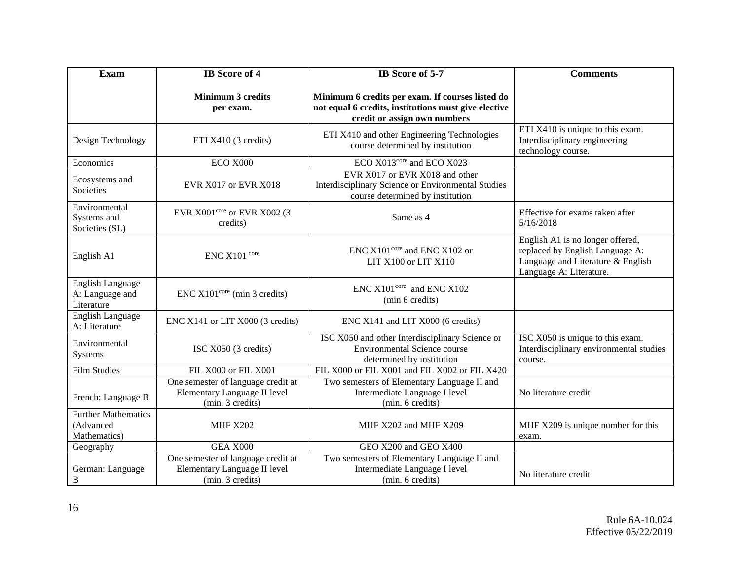| <b>Exam</b>                                              | <b>IB</b> Score of 4                                                                   | IB Score of 5-7                                                                                                                          | <b>Comments</b>                                                                                                                     |
|----------------------------------------------------------|----------------------------------------------------------------------------------------|------------------------------------------------------------------------------------------------------------------------------------------|-------------------------------------------------------------------------------------------------------------------------------------|
|                                                          | <b>Minimum 3 credits</b><br>per exam.                                                  | Minimum 6 credits per exam. If courses listed do<br>not equal 6 credits, institutions must give elective<br>credit or assign own numbers |                                                                                                                                     |
| Design Technology                                        | ETI X410 (3 credits)                                                                   | ETI X410 and other Engineering Technologies<br>course determined by institution                                                          | ETI X410 is unique to this exam.<br>Interdisciplinary engineering<br>technology course.                                             |
| Economics                                                | ECO X000                                                                               | ECO X013 <sup>core</sup> and ECO X023                                                                                                    |                                                                                                                                     |
| Ecosystems and<br>Societies                              | EVR X017 or EVR X018                                                                   | EVR X017 or EVR X018 and other<br>Interdisciplinary Science or Environmental Studies<br>course determined by institution                 |                                                                                                                                     |
| Environmental<br>Systems and<br>Societies (SL)           | EVR X001core or EVR X002 (3<br>credits)                                                | Same as 4                                                                                                                                | Effective for exams taken after<br>5/16/2018                                                                                        |
| English A1                                               | ENC X101 core                                                                          | ENC X101 <sup>core</sup> and ENC X102 or<br>LIT X100 or LIT X110                                                                         | English A1 is no longer offered,<br>replaced by English Language A:<br>Language and Literature & English<br>Language A: Literature. |
| <b>English Language</b><br>A: Language and<br>Literature | $ENC X101core$ (min 3 credits)                                                         | $ENC$ X101 <sup>core</sup> and $ENC$ X102<br>(min 6 credits)                                                                             |                                                                                                                                     |
| <b>English Language</b><br>A: Literature                 | ENC X141 or LIT X000 (3 credits)                                                       | ENC X141 and LIT X000 (6 credits)                                                                                                        |                                                                                                                                     |
| Environmental<br>Systems                                 | ISC X050 (3 credits)                                                                   | ISC X050 and other Interdisciplinary Science or<br><b>Environmental Science course</b><br>determined by institution                      | ISC X050 is unique to this exam.<br>Interdisciplinary environmental studies<br>course.                                              |
| <b>Film Studies</b>                                      | FIL X000 or FIL X001                                                                   | FIL X000 or FIL X001 and FIL X002 or FIL X420                                                                                            |                                                                                                                                     |
| French: Language B                                       | One semester of language credit at<br>Elementary Language II level<br>(min. 3 credits) | Two semesters of Elementary Language II and<br>Intermediate Language I level<br>(min. 6 credits)                                         | No literature credit                                                                                                                |
| <b>Further Mathematics</b><br>(Advanced<br>Mathematics)  | <b>MHF X202</b>                                                                        | MHF X202 and MHF X209                                                                                                                    | MHF X209 is unique number for this<br>exam.                                                                                         |
| Geography                                                | <b>GEA X000</b>                                                                        | GEO X200 and GEO X400                                                                                                                    |                                                                                                                                     |
| German: Language<br>B                                    | One semester of language credit at<br>Elementary Language II level<br>(min. 3 credits) | Two semesters of Elementary Language II and<br>Intermediate Language I level<br>(min. 6 credits)                                         | No literature credit                                                                                                                |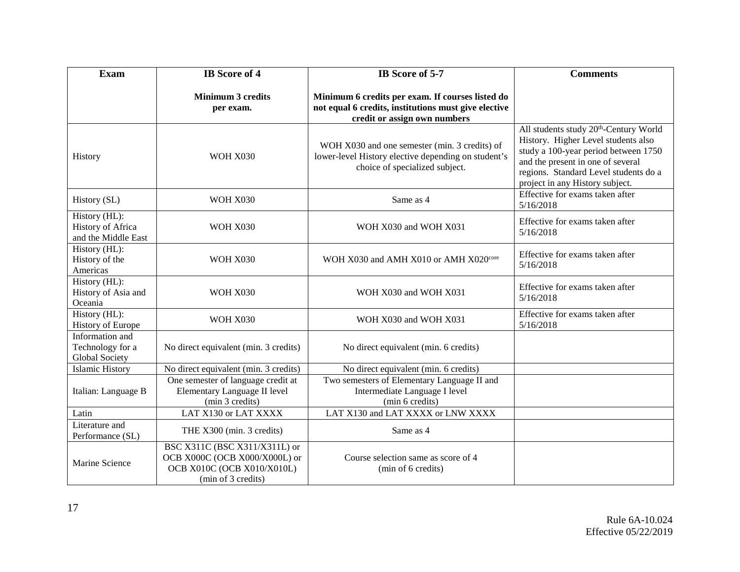| <b>Exam</b>                                                  | <b>IB</b> Score of 4                                                                                               | IB Score of 5-7                                                                                                                          | <b>Comments</b>                                                                                                                                                                                                                                    |
|--------------------------------------------------------------|--------------------------------------------------------------------------------------------------------------------|------------------------------------------------------------------------------------------------------------------------------------------|----------------------------------------------------------------------------------------------------------------------------------------------------------------------------------------------------------------------------------------------------|
|                                                              | <b>Minimum 3 credits</b><br>per exam.                                                                              | Minimum 6 credits per exam. If courses listed do<br>not equal 6 credits, institutions must give elective<br>credit or assign own numbers |                                                                                                                                                                                                                                                    |
| History                                                      | <b>WOH X030</b>                                                                                                    | WOH X030 and one semester (min. 3 credits) of<br>lower-level History elective depending on student's<br>choice of specialized subject.   | All students study 20 <sup>th</sup> -Century World<br>History. Higher Level students also<br>study a 100-year period between 1750<br>and the present in one of several<br>regions. Standard Level students do a<br>project in any History subject. |
| History (SL)                                                 | <b>WOH X030</b>                                                                                                    | Same as 4                                                                                                                                | Effective for exams taken after<br>5/16/2018                                                                                                                                                                                                       |
| History (HL):<br>History of Africa<br>and the Middle East    | <b>WOH X030</b>                                                                                                    | WOH X030 and WOH X031                                                                                                                    | Effective for exams taken after<br>5/16/2018                                                                                                                                                                                                       |
| History (HL):<br>History of the<br>Americas                  | <b>WOH X030</b>                                                                                                    | WOH X030 and AMH X010 or AMH X020 <sup>core</sup>                                                                                        | Effective for exams taken after<br>5/16/2018                                                                                                                                                                                                       |
| History (HL):<br>History of Asia and<br>Oceania              | <b>WOH X030</b>                                                                                                    | WOH X030 and WOH X031                                                                                                                    | Effective for exams taken after<br>5/16/2018                                                                                                                                                                                                       |
| History (HL):<br><b>History of Europe</b>                    | <b>WOH X030</b>                                                                                                    | WOH X030 and WOH X031                                                                                                                    | Effective for exams taken after<br>5/16/2018                                                                                                                                                                                                       |
| Information and<br>Technology for a<br><b>Global Society</b> | No direct equivalent (min. 3 credits)                                                                              | No direct equivalent (min. 6 credits)                                                                                                    |                                                                                                                                                                                                                                                    |
| <b>Islamic History</b>                                       | No direct equivalent (min. 3 credits)                                                                              | No direct equivalent (min. 6 credits)                                                                                                    |                                                                                                                                                                                                                                                    |
| Italian: Language B                                          | One semester of language credit at<br>Elementary Language II level<br>(min 3 credits)                              | Two semesters of Elementary Language II and<br>Intermediate Language I level<br>(min 6 credits)                                          |                                                                                                                                                                                                                                                    |
| Latin                                                        | LAT X130 or LAT XXXX                                                                                               | LAT X130 and LAT XXXX or LNW XXXX                                                                                                        |                                                                                                                                                                                                                                                    |
| Literature and<br>Performance (SL)                           | THE X300 (min. 3 credits)                                                                                          | Same as 4                                                                                                                                |                                                                                                                                                                                                                                                    |
| Marine Science                                               | BSC X311C (BSC X311/X311L) or<br>OCB X000C (OCB X000/X000L) or<br>OCB X010C (OCB X010/X010L)<br>(min of 3 credits) | Course selection same as score of 4<br>(min of 6 credits)                                                                                |                                                                                                                                                                                                                                                    |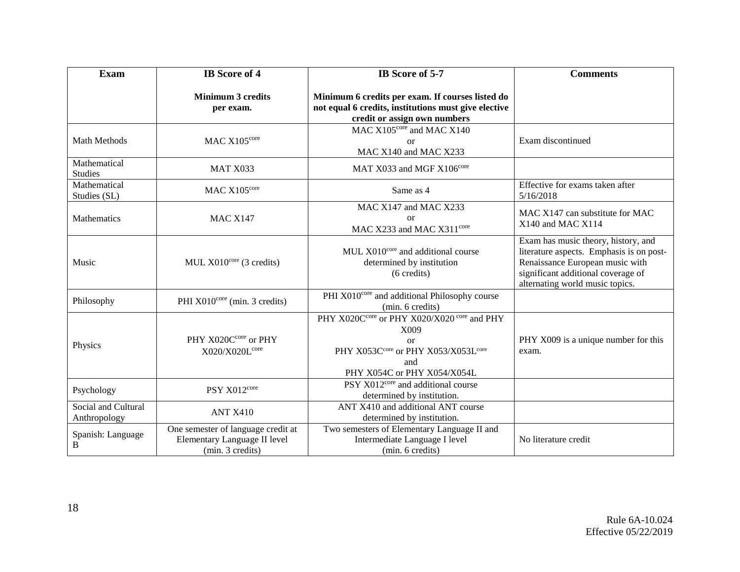| <b>Exam</b>                         | <b>IB</b> Score of 4                                                                   | IB Score of 5-7                                                                                                                                                     | <b>Comments</b>                                                                                                                                                                             |
|-------------------------------------|----------------------------------------------------------------------------------------|---------------------------------------------------------------------------------------------------------------------------------------------------------------------|---------------------------------------------------------------------------------------------------------------------------------------------------------------------------------------------|
|                                     | <b>Minimum 3 credits</b><br>per exam.                                                  | Minimum 6 credits per exam. If courses listed do<br>not equal 6 credits, institutions must give elective<br>credit or assign own numbers                            |                                                                                                                                                                                             |
| Math Methods                        | MAC X105core                                                                           | MAC X105 <sup>core</sup> and MAC X140<br><b>or</b><br>MAC X140 and MAC X233                                                                                         | Exam discontinued                                                                                                                                                                           |
| Mathematical<br><b>Studies</b>      | MAT X033                                                                               | MAT X033 and MGF X106 <sup>core</sup>                                                                                                                               |                                                                                                                                                                                             |
| Mathematical<br>Studies (SL)        | MAC X105core                                                                           | Same as 4                                                                                                                                                           | Effective for exams taken after<br>5/16/2018                                                                                                                                                |
| Mathematics                         | <b>MAC X147</b>                                                                        | MAC X147 and MAC X233<br><sub>or</sub><br>MAC X233 and MAC X311 <sup>core</sup>                                                                                     | MAC X147 can substitute for MAC<br>X140 and MAC X114                                                                                                                                        |
| Music                               | MUL $X010^{\text{core}}$ (3 credits)                                                   | MUL X010 <sup>core</sup> and additional course<br>determined by institution<br>$(6 \text{ credits})$                                                                | Exam has music theory, history, and<br>literature aspects. Emphasis is on post-<br>Renaissance European music with<br>significant additional coverage of<br>alternating world music topics. |
| Philosophy                          | PHI X010 <sup>core</sup> (min. 3 credits)                                              | PHI X010 <sup>core</sup> and additional Philosophy course<br>(min. 6 credits)                                                                                       |                                                                                                                                                                                             |
| Physics                             | PHY X020Ccore or PHY<br>X020/X020L <sup>core</sup>                                     | PHY X020C <sup>core</sup> or PHY X020/X020 <sup>core</sup> and PHY<br>X009<br>$\alpha$<br>PHY X053Ccore or PHY X053/X053Lcore<br>and<br>PHY X054C or PHY X054/X054L | PHY X009 is a unique number for this<br>exam.                                                                                                                                               |
| Psychology                          | PSY X012core                                                                           | PSY X012 <sup>core</sup> and additional course<br>determined by institution.                                                                                        |                                                                                                                                                                                             |
| Social and Cultural<br>Anthropology | <b>ANT X410</b>                                                                        | ANT X410 and additional ANT course<br>determined by institution.                                                                                                    |                                                                                                                                                                                             |
| Spanish: Language<br>B              | One semester of language credit at<br>Elementary Language II level<br>(min. 3 credits) | Two semesters of Elementary Language II and<br>Intermediate Language I level<br>(min. 6 credits)                                                                    | No literature credit                                                                                                                                                                        |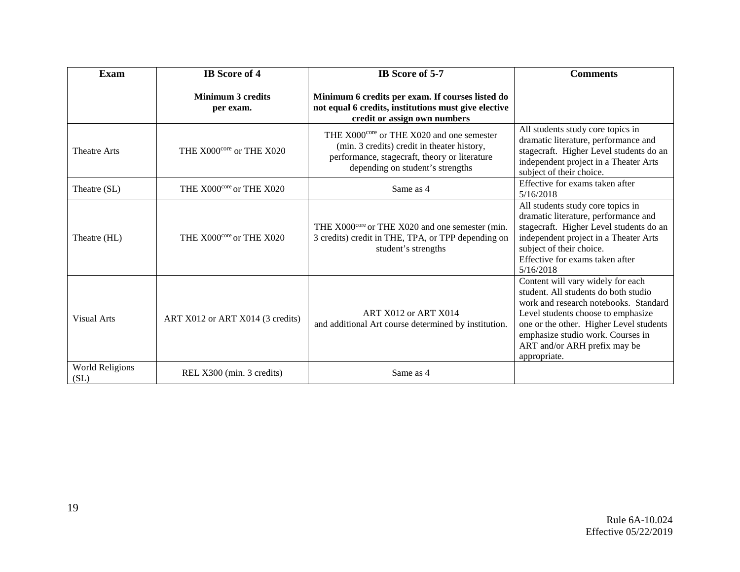| <b>Exam</b>                    | <b>IB</b> Score of 4                  | IB Score of 5-7                                                                                                                                                                           | <b>Comments</b>                                                                                                                                                                                                                                                                          |
|--------------------------------|---------------------------------------|-------------------------------------------------------------------------------------------------------------------------------------------------------------------------------------------|------------------------------------------------------------------------------------------------------------------------------------------------------------------------------------------------------------------------------------------------------------------------------------------|
|                                | <b>Minimum 3 credits</b><br>per exam. | Minimum 6 credits per exam. If courses listed do<br>not equal 6 credits, institutions must give elective<br>credit or assign own numbers                                                  |                                                                                                                                                                                                                                                                                          |
| <b>Theatre Arts</b>            | THE X000 <sup>core</sup> or THE X020  | THE X000 <sup>core</sup> or THE X020 and one semester<br>(min. 3 credits) credit in theater history,<br>performance, stagecraft, theory or literature<br>depending on student's strengths | All students study core topics in<br>dramatic literature, performance and<br>stagecraft. Higher Level students do an<br>independent project in a Theater Arts<br>subject of their choice.                                                                                                |
| Theatre (SL)                   | THE X000 <sup>core</sup> or THE X020  | Same as 4                                                                                                                                                                                 | Effective for exams taken after<br>5/16/2018                                                                                                                                                                                                                                             |
| Theatre (HL)                   | THE X000 <sup>core</sup> or THE X020  | THE X000 <sup>core</sup> or THE X020 and one semester (min.<br>3 credits) credit in THE, TPA, or TPP depending on<br>student's strengths                                                  | All students study core topics in<br>dramatic literature, performance and<br>stagecraft. Higher Level students do an<br>independent project in a Theater Arts<br>subject of their choice.<br>Effective for exams taken after<br>5/16/2018                                                |
| Visual Arts                    | ART X012 or ART X014 (3 credits)      | ART X012 or ART X014<br>and additional Art course determined by institution.                                                                                                              | Content will vary widely for each<br>student. All students do both studio<br>work and research notebooks. Standard<br>Level students choose to emphasize<br>one or the other. Higher Level students<br>emphasize studio work. Courses in<br>ART and/or ARH prefix may be<br>appropriate. |
| <b>World Religions</b><br>(SL) | REL X300 (min. 3 credits)             | Same as 4                                                                                                                                                                                 |                                                                                                                                                                                                                                                                                          |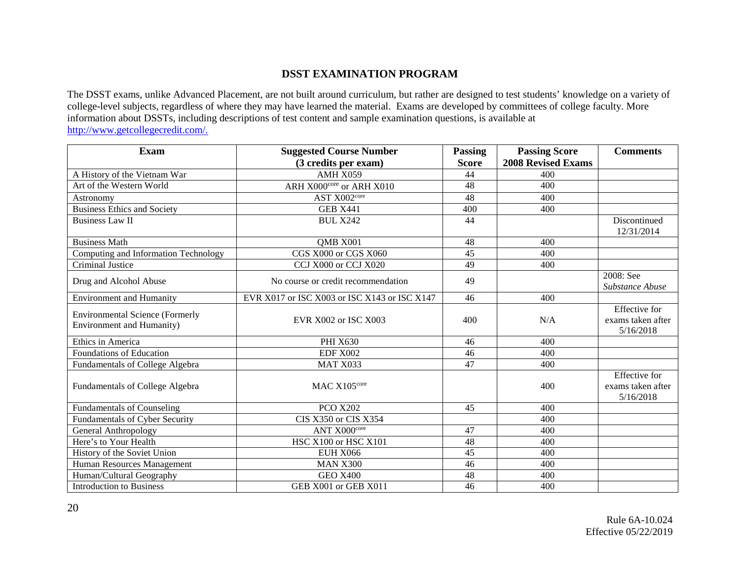## **DSST EXAMINATION PROGRAM**

The DSST exams, unlike Advanced Placement, are not built around curriculum, but rather are designed to test students' knowledge on a variety of college-level subjects, regardless of where they may have learned the material. Exams are developed by committees of college faculty. More information about DSSTs, including descriptions of test content and sample examination questions, is available at [http://www.getcollegecredit.com/.](http://www.getcollegecredit.com/)

| <b>Exam</b>                            | <b>Suggested Course Number</b>               | <b>Passing</b> | <b>Passing Score</b>      | <b>Comments</b>                           |
|----------------------------------------|----------------------------------------------|----------------|---------------------------|-------------------------------------------|
|                                        | (3 credits per exam)                         | <b>Score</b>   | <b>2008 Revised Exams</b> |                                           |
| A History of the Vietnam War           | AMH X059                                     | 44             | 400                       |                                           |
| Art of the Western World               | ARH X000core or ARH X010                     | 48             | 400                       |                                           |
| Astronomy                              | AST X002core                                 | 48             | 400                       |                                           |
| <b>Business Ethics and Society</b>     | <b>GEB X441</b>                              | 400            | 400                       |                                           |
| <b>Business Law II</b>                 | <b>BUL X242</b>                              | 44             |                           | Discontinued                              |
|                                        |                                              |                |                           | 12/31/2014                                |
| <b>Business Math</b>                   | QMB X001                                     | 48             | 400                       |                                           |
| Computing and Information Technology   | CGS X000 or CGS X060                         | 45             | 400                       |                                           |
| Criminal Justice                       | CCJ X000 or CCJ X020                         | 49             | 400                       |                                           |
| Drug and Alcohol Abuse                 | No course or credit recommendation           | 49             |                           | 2008: See                                 |
|                                        |                                              |                |                           | Substance Abuse                           |
| <b>Environment and Humanity</b>        | EVR X017 or ISC X003 or ISC X143 or ISC X147 | 46             | 400                       |                                           |
| <b>Environmental Science (Formerly</b> | EVR X002 or ISC X003                         | 400            | N/A                       | <b>Effective</b> for<br>exams taken after |
| <b>Environment and Humanity)</b>       |                                              |                |                           | 5/16/2018                                 |
| Ethics in America                      | <b>PHI X630</b>                              | 46             | 400                       |                                           |
| Foundations of Education               | <b>EDF X002</b>                              | 46             | 400                       |                                           |
| Fundamentals of College Algebra        | MAT X033                                     | 47             | 400                       |                                           |
|                                        |                                              |                |                           | <b>Effective</b> for                      |
| Fundamentals of College Algebra        | MAC X105core                                 |                | 400                       | exams taken after                         |
|                                        |                                              |                |                           | 5/16/2018                                 |
| Fundamentals of Counseling             | <b>PCO X202</b>                              | 45             | 400                       |                                           |
| Fundamentals of Cyber Security         | CIS X350 or CIS X354                         |                | 400                       |                                           |
| <b>General Anthropology</b>            | ANT X000core                                 | 47             | 400                       |                                           |
| Here's to Your Health                  | HSC X100 or HSC X101                         | 48             | 400                       |                                           |
| History of the Soviet Union            | <b>EUH X066</b>                              | 45             | 400                       |                                           |
| Human Resources Management             | <b>MAN X300</b>                              | 46             | 400                       |                                           |
| Human/Cultural Geography               | <b>GEO X400</b>                              | 48             | 400                       |                                           |
| <b>Introduction to Business</b>        | GEB X001 or GEB X011                         | 46             | 400                       |                                           |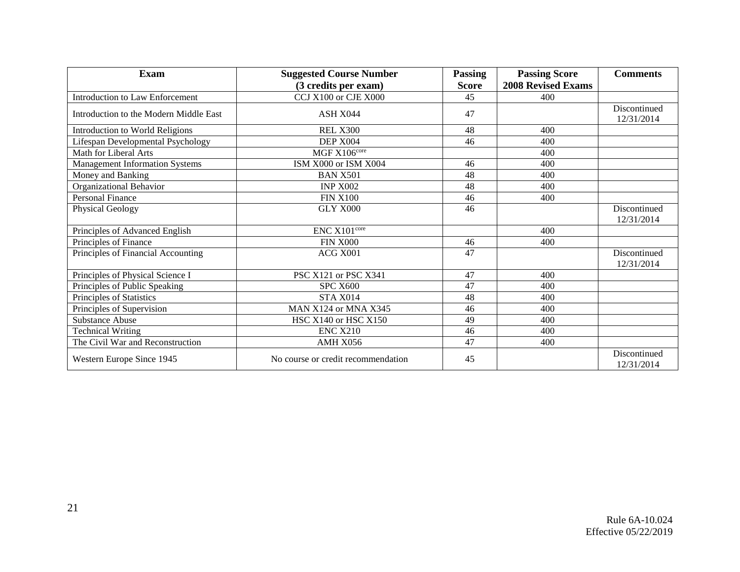| <b>Exam</b>                            | <b>Suggested Course Number</b>     | <b>Passing</b> | <b>Passing Score</b>      | <b>Comments</b>            |
|----------------------------------------|------------------------------------|----------------|---------------------------|----------------------------|
|                                        | (3 credits per exam)               | <b>Score</b>   | <b>2008 Revised Exams</b> |                            |
| <b>Introduction to Law Enforcement</b> | CCJ X100 or CJE X000               | 45             | 400                       |                            |
| Introduction to the Modern Middle East | ASH X044                           | 47             |                           | Discontinued<br>12/31/2014 |
| Introduction to World Religions        | <b>REL X300</b>                    | 48             | 400                       |                            |
| Lifespan Developmental Psychology      | DEP X004                           | 46             | 400                       |                            |
| Math for Liberal Arts                  | MGF X106core                       |                | 400                       |                            |
| Management Information Systems         | ISM X000 or ISM X004               | 46             | 400                       |                            |
| Money and Banking                      | <b>BAN X501</b>                    | 48             | 400                       |                            |
| Organizational Behavior                | <b>INP X002</b>                    | 48             | 400                       |                            |
| Personal Finance                       | <b>FIN X100</b>                    | 46             | 400                       |                            |
| <b>Physical Geology</b>                | GLY X000                           | 46             |                           | Discontinued<br>12/31/2014 |
| Principles of Advanced English         | ENC X101core                       |                | 400                       |                            |
| Principles of Finance                  | <b>FIN X000</b>                    | 46             | 400                       |                            |
| Principles of Financial Accounting     | ACG X001                           | 47             |                           | Discontinued<br>12/31/2014 |
| Principles of Physical Science I       | PSC X121 or PSC X341               | 47             | 400                       |                            |
| Principles of Public Speaking          | <b>SPC X600</b>                    | 47             | 400                       |                            |
| Principles of Statistics               | STA X014                           | 48             | 400                       |                            |
| Principles of Supervision              | MAN X124 or MNA X345               | 46             | 400                       |                            |
| <b>Substance Abuse</b>                 | HSC X140 or HSC X150               | 49             | 400                       |                            |
| <b>Technical Writing</b>               | <b>ENC X210</b>                    | 46             | 400                       |                            |
| The Civil War and Reconstruction       | AMH X056                           | 47             | 400                       |                            |
| Western Europe Since 1945              | No course or credit recommendation | 45             |                           | Discontinued<br>12/31/2014 |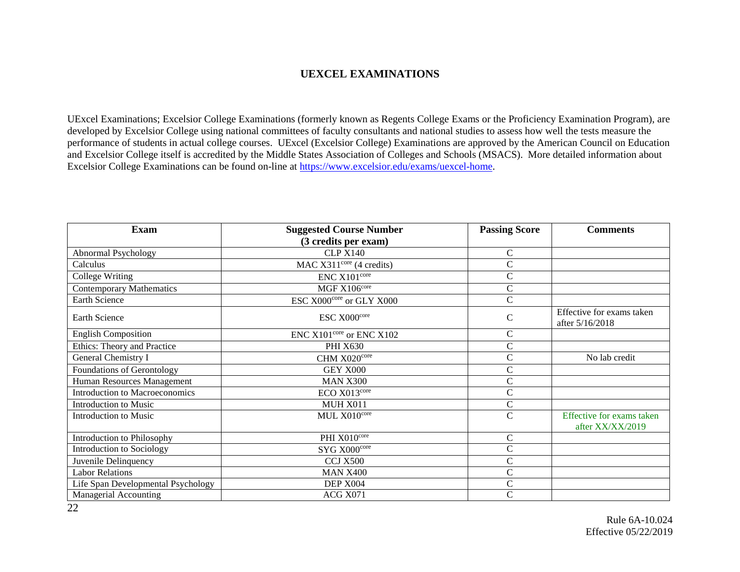#### **UEXCEL EXAMINATIONS**

UExcel Examinations; Excelsior College Examinations (formerly known as Regents College Exams or the Proficiency Examination Program), are developed by Excelsior College using national committees of faculty consultants and national studies to assess how well the tests measure the performance of students in actual college courses. UExcel (Excelsior College) Examinations are approved by the American Council on Education and Excelsior College itself is accredited by the Middle States Association of Colleges and Schools (MSACS). More detailed information about Excelsior College Examinations can be found on-line at [https://www.excelsior.edu/exams/uexcel-home.](https://www.excelsior.edu/exams/uexcel-home)

| <b>Exam</b>                        | <b>Suggested Course Number</b>       | <b>Passing Score</b> | <b>Comments</b>                               |
|------------------------------------|--------------------------------------|----------------------|-----------------------------------------------|
|                                    | (3 credits per exam)                 |                      |                                               |
| Abnormal Psychology                | <b>CLP X140</b>                      | $\mathsf{C}$         |                                               |
| Calculus                           | MAC $X311^{\text{core}}$ (4 credits) | $\overline{C}$       |                                               |
| College Writing                    | ENC X101 <sup>core</sup>             | $\overline{C}$       |                                               |
| <b>Contemporary Mathematics</b>    | MGF X106 <sup>core</sup>             | $\mathcal{C}$        |                                               |
| Earth Science                      | ESC X000 <sup>core</sup> or GLY X000 | $\mathcal{C}$        |                                               |
| Earth Science                      | ESC X000core                         | $\mathbf C$          | Effective for exams taken<br>after 5/16/2018  |
| <b>English Composition</b>         | $ENC X101core$ or $ENC X102$         | $\mathsf{C}$         |                                               |
| Ethics: Theory and Practice        | <b>PHI X630</b>                      | $\mathsf{C}$         |                                               |
| General Chemistry I                | CHM X020core                         | $\overline{C}$       | No lab credit                                 |
| Foundations of Gerontology         | GEY X000                             | C                    |                                               |
| Human Resources Management         | <b>MAN X300</b>                      | C                    |                                               |
| Introduction to Macroeconomics     | ECO X013 <sup>core</sup>             | C                    |                                               |
| Introduction to Music              | <b>MUH X011</b>                      | $\mathsf{C}$         |                                               |
| Introduction to Music              | MUL X010core                         | $\mathcal{C}$        | Effective for exams taken<br>after XX/XX/2019 |
| Introduction to Philosophy         | PHI X010core                         | $\mathcal{C}$        |                                               |
| Introduction to Sociology          | SYG X000core                         | $\mathbf C$          |                                               |
| Juvenile Delinquency               | <b>CCJ X500</b>                      | $\mathsf{C}$         |                                               |
| <b>Labor Relations</b>             | <b>MAN X400</b>                      | $\mathsf{C}$         |                                               |
| Life Span Developmental Psychology | DEP X004                             | $\mathsf{C}$         |                                               |
| Managerial Accounting              | ACG X071                             | C                    |                                               |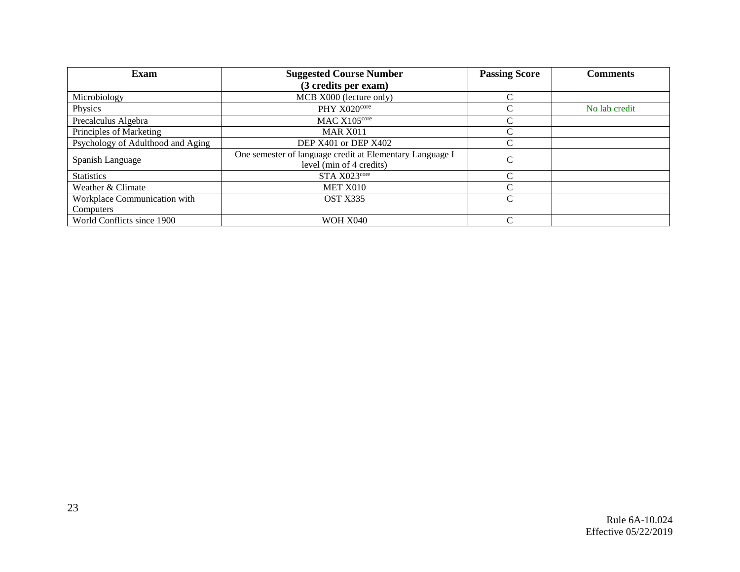| Exam                              | <b>Suggested Course Number</b>                                                       | <b>Passing Score</b> | <b>Comments</b> |
|-----------------------------------|--------------------------------------------------------------------------------------|----------------------|-----------------|
|                                   | (3 credits per exam)                                                                 |                      |                 |
| Microbiology                      | MCB X000 (lecture only)                                                              |                      |                 |
| Physics                           | $PHY X020^{\text{core}}$                                                             |                      | No lab credit   |
| Precalculus Algebra               | MAC X105core                                                                         |                      |                 |
| Principles of Marketing           | <b>MAR X011</b>                                                                      |                      |                 |
| Psychology of Adulthood and Aging | DEP X401 or DEP X402                                                                 |                      |                 |
| Spanish Language                  | One semester of language credit at Elementary Language I<br>level (min of 4 credits) | ⌒                    |                 |
| <b>Statistics</b>                 | STA X023core                                                                         |                      |                 |
| Weather & Climate                 | MET X010                                                                             |                      |                 |
| Workplace Communication with      | OST X335                                                                             |                      |                 |
| Computers                         |                                                                                      |                      |                 |
| World Conflicts since 1900        | <b>WOH X040</b>                                                                      |                      |                 |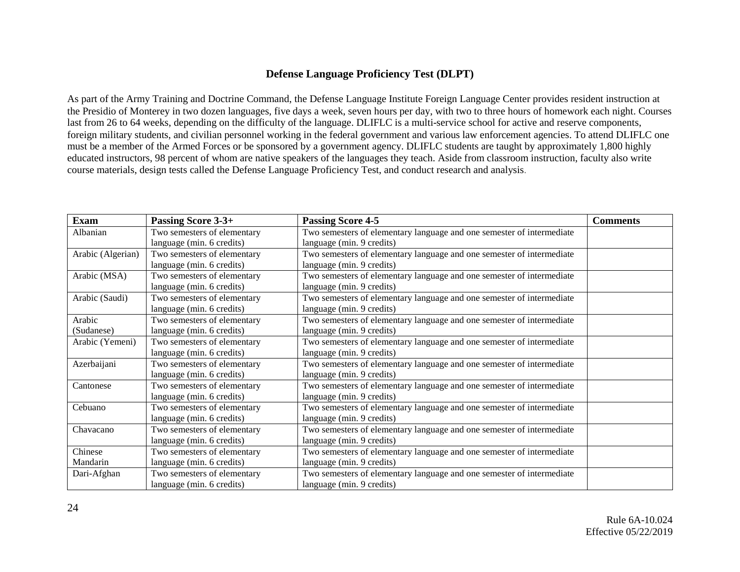### **Defense Language Proficiency Test (DLPT)**

As part of th[e Army Training and Doctrine Command,](http://www.tradoc.army.mil/) the Defense Language Institute Foreign Language Center provides resident instruction at the Presidio of Monterey i[n two dozen languages,](http://www.dliflc.edu/about/languages-at-dliflc/) five days a week, seven hours per day, with two to three hours of homework each night. Courses last from 26 to 64 weeks, depending on the difficulty of the language. DLIFLC is a multi-service school for active and reserve components, foreign military students, and civilian personnel working in the federal government and various law enforcement agencies. To attend DLIFLC one must be a member of the Armed Forces or be sponsored by a government agency. DLIFLC students are taught by approximately [1,800 highly](http://www.dliflc.edu/administration/employment/)  [educated instructors,](http://www.dliflc.edu/administration/employment/) 98 percent of whom are native speakers of the languages they teach. Aside from classroom instruction, faculty also write course materials, design tests called the [Defense Language Proficiency Test,](http://www.dliflc.edu/resources/dlpt-guides/) and conduct research and analysis.

| Exam              | Passing Score 3-3+          | <b>Passing Score 4-5</b>                                              | <b>Comments</b> |
|-------------------|-----------------------------|-----------------------------------------------------------------------|-----------------|
| Albanian          | Two semesters of elementary | Two semesters of elementary language and one semester of intermediate |                 |
|                   | language (min. 6 credits)   | language (min. 9 credits)                                             |                 |
| Arabic (Algerian) | Two semesters of elementary | Two semesters of elementary language and one semester of intermediate |                 |
|                   | language (min. 6 credits)   | language (min. 9 credits)                                             |                 |
| Arabic (MSA)      | Two semesters of elementary | Two semesters of elementary language and one semester of intermediate |                 |
|                   | language (min. 6 credits)   | language (min. 9 credits)                                             |                 |
| Arabic (Saudi)    | Two semesters of elementary | Two semesters of elementary language and one semester of intermediate |                 |
|                   | language (min. 6 credits)   | language (min. 9 credits)                                             |                 |
| Arabic            | Two semesters of elementary | Two semesters of elementary language and one semester of intermediate |                 |
| (Sudanese)        | language (min. 6 credits)   | language (min. 9 credits)                                             |                 |
| Arabic (Yemeni)   | Two semesters of elementary | Two semesters of elementary language and one semester of intermediate |                 |
|                   | language (min. 6 credits)   | language (min. 9 credits)                                             |                 |
| Azerbaijani       | Two semesters of elementary | Two semesters of elementary language and one semester of intermediate |                 |
|                   | language (min. 6 credits)   | language (min. 9 credits)                                             |                 |
| Cantonese         | Two semesters of elementary | Two semesters of elementary language and one semester of intermediate |                 |
|                   | language (min. 6 credits)   | language (min. 9 credits)                                             |                 |
| Cebuano           | Two semesters of elementary | Two semesters of elementary language and one semester of intermediate |                 |
|                   | language (min. 6 credits)   | language (min. 9 credits)                                             |                 |
| Chavacano         | Two semesters of elementary | Two semesters of elementary language and one semester of intermediate |                 |
|                   | language (min. 6 credits)   | language (min. 9 credits)                                             |                 |
| Chinese           | Two semesters of elementary | Two semesters of elementary language and one semester of intermediate |                 |
| Mandarin          | language (min. 6 credits)   | language (min. 9 credits)                                             |                 |
| Dari-Afghan       | Two semesters of elementary | Two semesters of elementary language and one semester of intermediate |                 |
|                   | language (min. 6 credits)   | language (min. 9 credits)                                             |                 |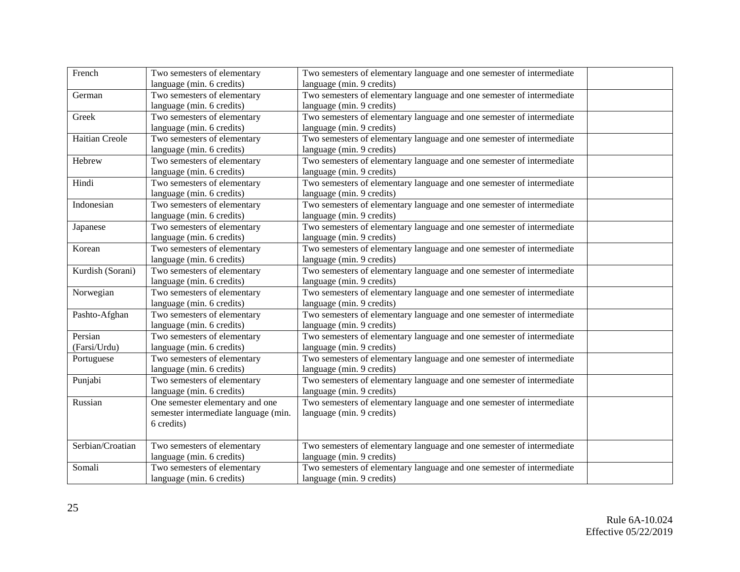| French           | Two semesters of elementary          | Two semesters of elementary language and one semester of intermediate |  |
|------------------|--------------------------------------|-----------------------------------------------------------------------|--|
|                  | language (min. 6 credits)            | language (min. 9 credits)                                             |  |
| German           | Two semesters of elementary          | Two semesters of elementary language and one semester of intermediate |  |
|                  | language (min. 6 credits)            | language (min. 9 credits)                                             |  |
| Greek            | Two semesters of elementary          | Two semesters of elementary language and one semester of intermediate |  |
|                  | language (min. 6 credits)            | language (min. 9 credits)                                             |  |
| Haitian Creole   | Two semesters of elementary          | Two semesters of elementary language and one semester of intermediate |  |
|                  | language (min. 6 credits)            | language (min. 9 credits)                                             |  |
| Hebrew           | Two semesters of elementary          | Two semesters of elementary language and one semester of intermediate |  |
|                  | language (min. 6 credits)            | language (min. 9 credits)                                             |  |
| Hindi            | Two semesters of elementary          | Two semesters of elementary language and one semester of intermediate |  |
|                  | language (min. 6 credits)            | language (min. 9 credits)                                             |  |
| Indonesian       | Two semesters of elementary          | Two semesters of elementary language and one semester of intermediate |  |
|                  | language (min. 6 credits)            | language (min. 9 credits)                                             |  |
| Japanese         | Two semesters of elementary          | Two semesters of elementary language and one semester of intermediate |  |
|                  | language (min. 6 credits)            | language (min. 9 credits)                                             |  |
| Korean           | Two semesters of elementary          | Two semesters of elementary language and one semester of intermediate |  |
|                  | language (min. 6 credits)            | language (min. 9 credits)                                             |  |
| Kurdish (Sorani) | Two semesters of elementary          | Two semesters of elementary language and one semester of intermediate |  |
|                  | language (min. 6 credits)            | language (min. 9 credits)                                             |  |
| Norwegian        | Two semesters of elementary          | Two semesters of elementary language and one semester of intermediate |  |
|                  | language (min. 6 credits)            | language (min. 9 credits)                                             |  |
| Pashto-Afghan    | Two semesters of elementary          | Two semesters of elementary language and one semester of intermediate |  |
|                  | language (min. 6 credits)            | language (min. 9 credits)                                             |  |
| Persian          | Two semesters of elementary          | Two semesters of elementary language and one semester of intermediate |  |
| (Farsi/Urdu)     | language (min. 6 credits)            | language (min. 9 credits)                                             |  |
| Portuguese       | Two semesters of elementary          | Two semesters of elementary language and one semester of intermediate |  |
|                  | language (min. 6 credits)            | language (min. 9 credits)                                             |  |
| Punjabi          | Two semesters of elementary          | Two semesters of elementary language and one semester of intermediate |  |
|                  | language (min. 6 credits)            | language (min. 9 credits)                                             |  |
| Russian          | One semester elementary and one      | Two semesters of elementary language and one semester of intermediate |  |
|                  | semester intermediate language (min. | language (min. 9 credits)                                             |  |
|                  | 6 credits)                           |                                                                       |  |
|                  |                                      |                                                                       |  |
| Serbian/Croatian | Two semesters of elementary          | Two semesters of elementary language and one semester of intermediate |  |
|                  | language (min. 6 credits)            | language (min. 9 credits)                                             |  |
| Somali           | Two semesters of elementary          | Two semesters of elementary language and one semester of intermediate |  |
|                  | language (min. 6 credits)            | language (min. 9 credits)                                             |  |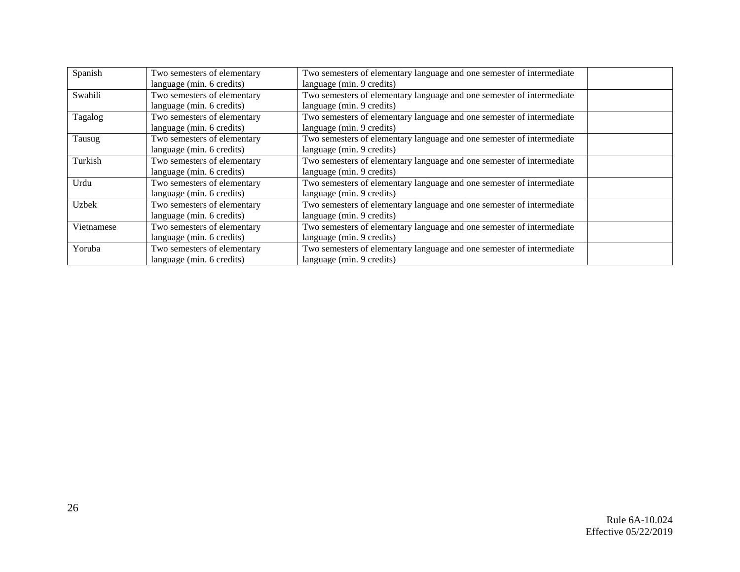| Spanish    | Two semesters of elementary | Two semesters of elementary language and one semester of intermediate |
|------------|-----------------------------|-----------------------------------------------------------------------|
|            | language (min. 6 credits)   | language (min. 9 credits)                                             |
| Swahili    | Two semesters of elementary | Two semesters of elementary language and one semester of intermediate |
|            | language (min. 6 credits)   | language (min. 9 credits)                                             |
| Tagalog    | Two semesters of elementary | Two semesters of elementary language and one semester of intermediate |
|            | language (min. 6 credits)   | language (min. 9 credits)                                             |
| Tausug     | Two semesters of elementary | Two semesters of elementary language and one semester of intermediate |
|            | language (min. 6 credits)   | language (min. 9 credits)                                             |
| Turkish    | Two semesters of elementary | Two semesters of elementary language and one semester of intermediate |
|            | language (min. 6 credits)   | language (min. 9 credits)                                             |
| Urdu       | Two semesters of elementary | Two semesters of elementary language and one semester of intermediate |
|            | language (min. 6 credits)   | language (min. 9 credits)                                             |
| Uzbek      | Two semesters of elementary | Two semesters of elementary language and one semester of intermediate |
|            | language (min. 6 credits)   | language (min. 9 credits)                                             |
| Vietnamese | Two semesters of elementary | Two semesters of elementary language and one semester of intermediate |
|            | language (min. 6 credits)   | language (min. 9 credits)                                             |
| Yoruba     | Two semesters of elementary | Two semesters of elementary language and one semester of intermediate |
|            | language (min. 6 credits)   | language (min. 9 credits)                                             |